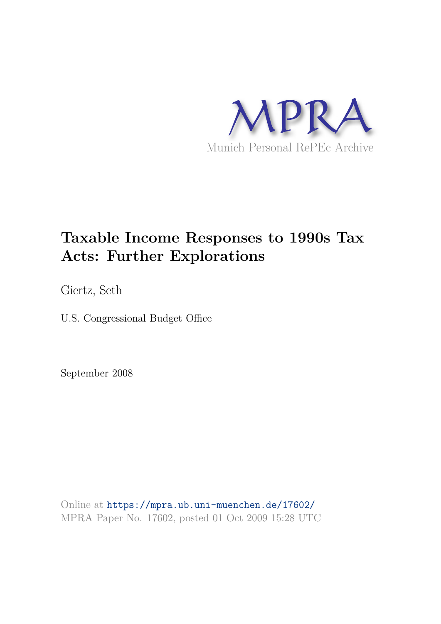

# **Taxable Income Responses to 1990s Tax Acts: Further Explorations**

Giertz, Seth

U.S. Congressional Budget Office

September 2008

Online at https://mpra.ub.uni-muenchen.de/17602/ MPRA Paper No. 17602, posted 01 Oct 2009 15:28 UTC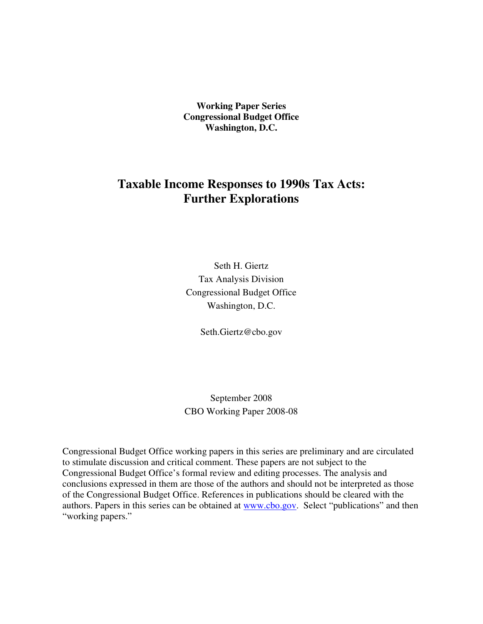**Working Paper Series Congressional Budget Office Washington, D.C.**

# **Taxable Income Responses to 1990s Tax Acts: Further Explorations**

Seth H. Giertz Tax Analysis Division Congressional Budget Office Washington, D.C.

Seth.Giertz@cbo.gov

September 2008 CBO Working Paper 2008-08

Congressional Budget Office working papers in this series are preliminary and are circulated to stimulate discussion and critical comment. These papers are not subject to the Congressional Budget Office's formal review and editing processes. The analysis and conclusions expressed in them are those of the authors and should not be interpreted as those of the Congressional Budget Office. References in publications should be cleared with the authors. Papers in this series can be obtained at **www.cbo.gov.** Select "publications" and then "working papers."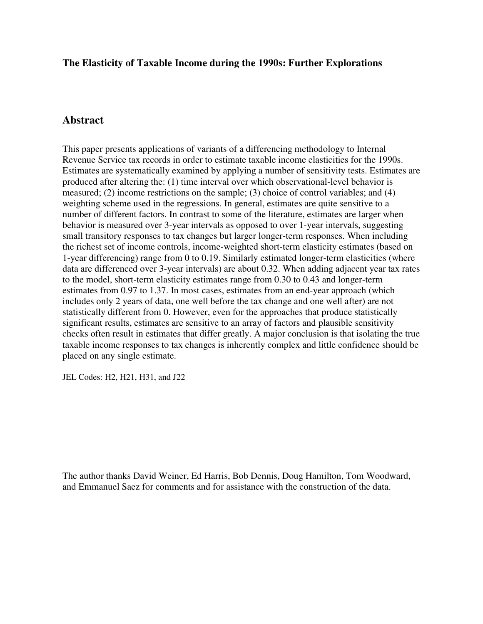# **The Elasticity of Taxable Income during the 1990s: Further Explorations**

# **Abstract**

This paper presents applications of variants of a differencing methodology to Internal Revenue Service tax records in order to estimate taxable income elasticities for the 1990s. Estimates are systematically examined by applying a number of sensitivity tests. Estimates are produced after altering the: (1) time interval over which observational-level behavior is measured; (2) income restrictions on the sample; (3) choice of control variables; and (4) weighting scheme used in the regressions. In general, estimates are quite sensitive to a number of different factors. In contrast to some of the literature, estimates are larger when behavior is measured over 3-year intervals as opposed to over 1-year intervals, suggesting small transitory responses to tax changes but larger longer-term responses. When including the richest set of income controls, income-weighted short-term elasticity estimates (based on 1-year differencing) range from 0 to 0.19. Similarly estimated longer-term elasticities (where data are differenced over 3-year intervals) are about 0.32. When adding adjacent year tax rates to the model, short-term elasticity estimates range from 0.30 to 0.43 and longer-term estimates from 0.97 to 1.37. In most cases, estimates from an end-year approach (which includes only 2 years of data, one well before the tax change and one well after) are not statistically different from 0. However, even for the approaches that produce statistically significant results, estimates are sensitive to an array of factors and plausible sensitivity checks often result in estimates that differ greatly. A major conclusion is that isolating the true taxable income responses to tax changes is inherently complex and little confidence should be placed on any single estimate.

JEL Codes: H2, H21, H31, and J22

The author thanks David Weiner, Ed Harris, Bob Dennis, Doug Hamilton, Tom Woodward, and Emmanuel Saez for comments and for assistance with the construction of the data.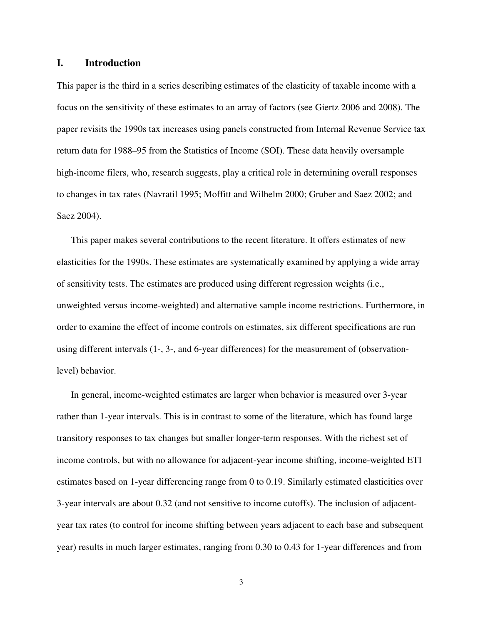# **I. Introduction**

This paper is the third in a series describing estimates of the elasticity of taxable income with a focus on the sensitivity of these estimates to an array of factors (see Giertz 2006 and 2008). The paper revisits the 1990s tax increases using panels constructed from Internal Revenue Service tax return data for 1988–95 from the Statistics of Income (SOI). These data heavily oversample high-income filers, who, research suggests, play a critical role in determining overall responses to changes in tax rates (Navratil 1995; Moffitt and Wilhelm 2000; Gruber and Saez 2002; and Saez 2004).

This paper makes several contributions to the recent literature. It offers estimates of new elasticities for the 1990s. These estimates are systematically examined by applying a wide array of sensitivity tests. The estimates are produced using different regression weights (i.e., unweighted versus income-weighted) and alternative sample income restrictions. Furthermore, in order to examine the effect of income controls on estimates, six different specifications are run using different intervals (1-, 3-, and 6-year differences) for the measurement of (observationlevel) behavior.

In general, income-weighted estimates are larger when behavior is measured over 3-year rather than 1-year intervals. This is in contrast to some of the literature, which has found large transitory responses to tax changes but smaller longer-term responses. With the richest set of income controls, but with no allowance for adjacent-year income shifting, income-weighted ETI estimates based on 1-year differencing range from 0 to 0.19. Similarly estimated elasticities over 3-year intervals are about 0.32 (and not sensitive to income cutoffs). The inclusion of adjacentyear tax rates (to control for income shifting between years adjacent to each base and subsequent year) results in much larger estimates, ranging from 0.30 to 0.43 for 1-year differences and from

3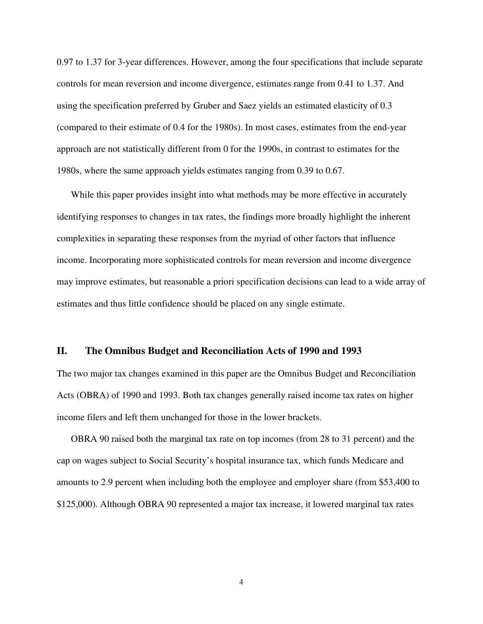0.97 to 1.37 for 3-year differences. However, among the four specifications that include separate controls for mean reversion and income divergence, estimates range from 0.41 to 1.37. And using the specification preferred by Gruber and Saez yields an estimated elasticity of 0.3 (compared to their estimate of 0.4 for the 1980s). In most cases, estimates from the end-year approach are not statistically different from 0 for the 1990s, in contrast to estimates for the 1980s, where the same approach yields estimates ranging from 0.39 to 0.67.

While this paper provides insight into what methods may be more effective in accurately identifying responses to changes in tax rates, the findings more broadly highlight the inherent complexities in separating these responses from the myriad of other factors that influence income. Incorporating more sophisticated controls for mean reversion and income divergence may improve estimates, but reasonable a priori specification decisions can lead to a wide array of estimates and thus little confidence should be placed on any single estimate.

# **II. The Omnibus Budget and Reconciliation Acts of 1990 and 1993**

The two major tax changes examined in this paper are the Omnibus Budget and Reconciliation Acts (OBRA) of 1990 and 1993. Both tax changes generally raised income tax rates on higher income filers and left them unchanged for those in the lower brackets.

OBRA 90 raised both the marginal tax rate on top incomes (from 28 to 31 percent) and the cap on wages subject to Social Security's hospital insurance tax, which funds Medicare and amounts to 2.9 percent when including both the employee and employer share (from \$53,400 to \$125,000). Although OBRA 90 represented a major tax increase, it lowered marginal tax rates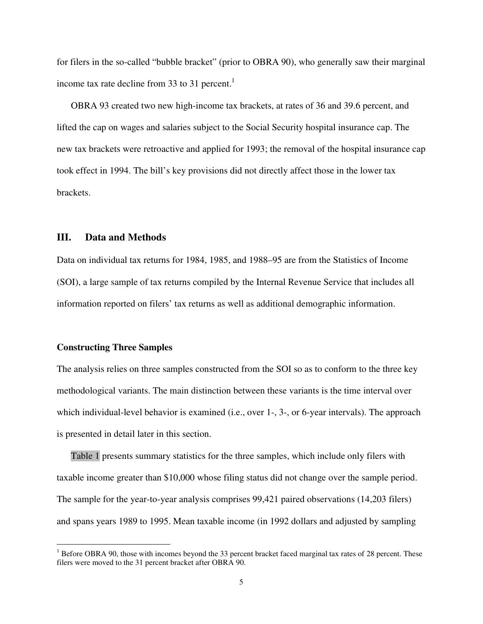for filers in the so-called "bubble bracket" (prior to OBRA 90), who generally saw their marginal income tax rate decline from 33 to 31 percent.<sup>1</sup>

OBRA 93 created two new high-income tax brackets, at rates of 36 and 39.6 percent, and lifted the cap on wages and salaries subject to the Social Security hospital insurance cap. The new tax brackets were retroactive and applied for 1993; the removal of the hospital insurance cap took effect in 1994. The bill's key provisions did not directly affect those in the lower tax brackets.

# **III. Data and Methods**

Data on individual tax returns for 1984, 1985, and 1988–95 are from the Statistics of Income (SOI), a large sample of tax returns compiled by the Internal Revenue Service that includes all information reported on filers' tax returns as well as additional demographic information.

## **Constructing Three Samples**

The analysis relies on three samples constructed from the SOI so as to conform to the three key methodological variants. The main distinction between these variants is the time interval over which individual-level behavior is examined (i.e., over 1-, 3-, or 6-year intervals). The approach is presented in detail later in this section.

Table 1 presents summary statistics for the three samples, which include only filers with taxable income greater than \$10,000 whose filing status did not change over the sample period. The sample for the year-to-year analysis comprises 99,421 paired observations (14,203 filers) and spans years 1989 to 1995. Mean taxable income (in 1992 dollars and adjusted by sampling

<sup>&</sup>lt;sup>1</sup> Before OBRA 90, those with incomes beyond the 33 percent bracket faced marginal tax rates of 28 percent. These filers were moved to the 31 percent bracket after OBRA 90.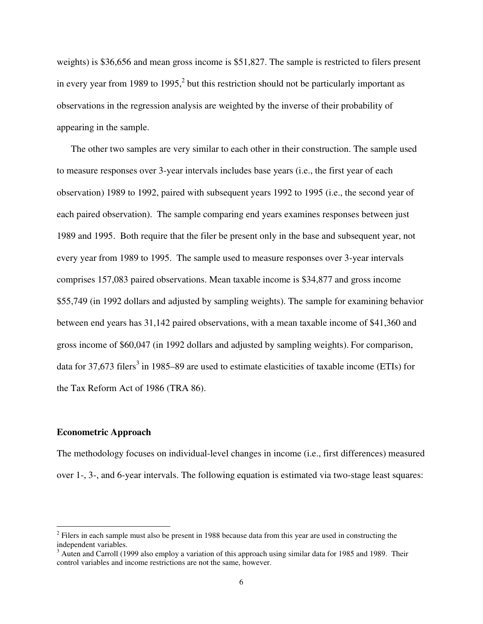weights) is \$36,656 and mean gross income is \$51,827. The sample is restricted to filers present in every year from 1989 to 1995,<sup>2</sup> but this restriction should not be particularly important as observations in the regression analysis are weighted by the inverse of their probability of appearing in the sample.

The other two samples are very similar to each other in their construction. The sample used to measure responses over 3-year intervals includes base years (i.e., the first year of each observation) 1989 to 1992, paired with subsequent years 1992 to 1995 (i.e., the second year of each paired observation). The sample comparing end years examines responses between just 1989 and 1995. Both require that the filer be present only in the base and subsequent year, not every year from 1989 to 1995. The sample used to measure responses over 3-year intervals comprises 157,083 paired observations. Mean taxable income is \$34,877 and gross income \$55,749 (in 1992 dollars and adjusted by sampling weights). The sample for examining behavior between end years has 31,142 paired observations, with a mean taxable income of \$41,360 and gross income of \$60,047 (in 1992 dollars and adjusted by sampling weights). For comparison, data for 37,673 filers<sup>3</sup> in 1985–89 are used to estimate elasticities of taxable income (ETIs) for the Tax Reform Act of 1986 (TRA 86).

#### **Econometric Approach**

The methodology focuses on individual-level changes in income (i.e., first differences) measured over 1-, 3-, and 6-year intervals. The following equation is estimated via two-stage least squares:

 $2$  Filers in each sample must also be present in 1988 because data from this year are used in constructing the independent variables.

 $3$  Auten and Carroll (1999 also employ a variation of this approach using similar data for 1985 and 1989. Their control variables and income restrictions are not the same, however.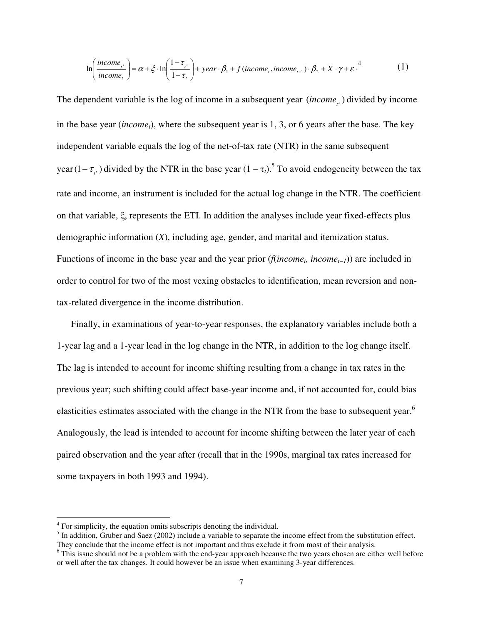$$
\ln\left(\frac{income_{t^s}}{income_t}\right) = \alpha + \xi \cdot \ln\left(\frac{1 - \tau_{t^s}}{1 - \tau_t}\right) + year \cdot \beta_1 + f(income_t, income_{t-1}) \cdot \beta_2 + X \cdot \gamma + \varepsilon \cdot \zeta^4 \tag{1}
$$

The dependent variable is the log of income in a subsequent year  $(income_{i})$  divided by income in the base year (*incomet*), where the subsequent year is 1, 3, or 6 years after the base. The key independent variable equals the log of the net-of-tax rate (NTR) in the same subsequent  $\text{year}(1 - \tau_{t^s})$  divided by the NTR in the base year  $(1 - \tau_t)$ .<sup>5</sup> To avoid endogeneity between the tax rate and income, an instrument is included for the actual log change in the NTR. The coefficient on that variable, ξ, represents the ETI. In addition the analyses include year fixed-effects plus demographic information (*X*), including age, gender, and marital and itemization status. Functions of income in the base year and the year prior (*f*(*income<sup>t</sup> , incomet*−*1*)) are included in order to control for two of the most vexing obstacles to identification, mean reversion and nontax-related divergence in the income distribution.

Finally, in examinations of year-to-year responses, the explanatory variables include both a 1-year lag and a 1-year lead in the log change in the NTR, in addition to the log change itself. The lag is intended to account for income shifting resulting from a change in tax rates in the previous year; such shifting could affect base-year income and, if not accounted for, could bias elasticities estimates associated with the change in the NTR from the base to subsequent year.<sup>6</sup> Analogously, the lead is intended to account for income shifting between the later year of each paired observation and the year after (recall that in the 1990s, marginal tax rates increased for some taxpayers in both 1993 and 1994).

<sup>&</sup>lt;sup>4</sup> For simplicity, the equation omits subscripts denoting the individual.

 $<sup>5</sup>$  In addition, Gruber and Saez (2002) include a variable to separate the income effect from the substitution effect.</sup> They conclude that the income effect is not important and thus exclude it from most of their analysis.

<sup>&</sup>lt;sup>6</sup> This issue should not be a problem with the end-year approach because the two years chosen are either well before or well after the tax changes. It could however be an issue when examining 3-year differences.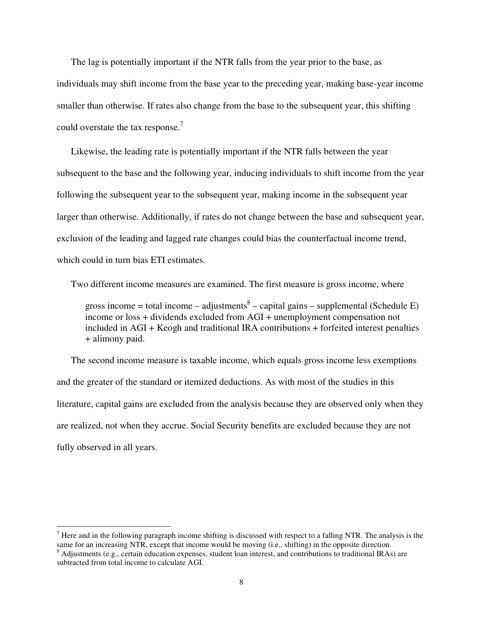The lag is potentially important if the NTR falls from the year prior to the base, as individuals may shift income from the base year to the preceding year, making base-year income smaller than otherwise. If rates also change from the base to the subsequent year, this shifting could overstate the tax response.<sup>7</sup>

Likewise, the leading rate is potentially important if the NTR falls between the year subsequent to the base and the following year, inducing individuals to shift income from the year following the subsequent year to the subsequent year, making income in the subsequent year larger than otherwise. Additionally, if rates do not change between the base and subsequent year, exclusion of the leading and lagged rate changes could bias the counterfactual income trend, which could in turn bias ETI estimates.

Two different income measures are examined. The first measure is gross income, where

gross income = total income  $-$  adjustments<sup>8</sup>  $-$  capital gains  $-$  supplemental (Schedule E) income or loss + dividends excluded from AGI + unemployment compensation not included in AGI + Keogh and traditional IRA contributions + forfeited interest penalties + alimony paid.

The second income measure is taxable income, which equals gross income less exemptions and the greater of the standard or itemized deductions. As with most of the studies in this literature, capital gains are excluded from the analysis because they are observed only when they are realized, not when they accrue. Social Security benefits are excluded because they are not fully observed in all years.

<sup>&</sup>lt;sup>7</sup> Here and in the following paragraph income shifting is discussed with respect to a falling NTR. The analysis is the same for an increasing NTR, except that income would be moving (i.e., shifting) in the opposite direction.

 $8$  Adjustments (e.g., certain education expenses, student loan interest, and contributions to traditional IRAs) are subtracted from total income to calculate AGI.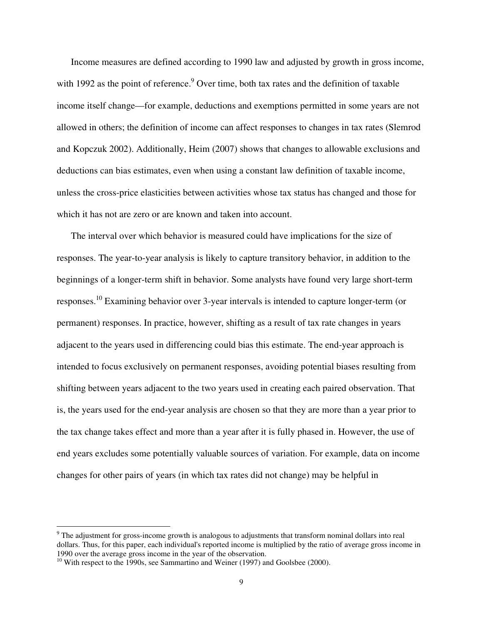Income measures are defined according to 1990 law and adjusted by growth in gross income, with 1992 as the point of reference.<sup>9</sup> Over time, both tax rates and the definition of taxable income itself change—for example, deductions and exemptions permitted in some years are not allowed in others; the definition of income can affect responses to changes in tax rates (Slemrod and Kopczuk 2002). Additionally, Heim (2007) shows that changes to allowable exclusions and deductions can bias estimates, even when using a constant law definition of taxable income, unless the cross-price elasticities between activities whose tax status has changed and those for which it has not are zero or are known and taken into account.

The interval over which behavior is measured could have implications for the size of responses. The year-to-year analysis is likely to capture transitory behavior, in addition to the beginnings of a longer-term shift in behavior. Some analysts have found very large short-term responses.<sup>10</sup> Examining behavior over 3-year intervals is intended to capture longer-term (or permanent) responses. In practice, however, shifting as a result of tax rate changes in years adjacent to the years used in differencing could bias this estimate. The end-year approach is intended to focus exclusively on permanent responses, avoiding potential biases resulting from shifting between years adjacent to the two years used in creating each paired observation. That is, the years used for the end-year analysis are chosen so that they are more than a year prior to the tax change takes effect and more than a year after it is fully phased in. However, the use of end years excludes some potentially valuable sources of variation. For example, data on income changes for other pairs of years (in which tax rates did not change) may be helpful in

<sup>&</sup>lt;sup>9</sup> The adjustment for gross-income growth is analogous to adjustments that transform nominal dollars into real dollars. Thus, for this paper, each individual's reported income is multiplied by the ratio of average gross income in 1990 over the average gross income in the year of the observation.

<sup>&</sup>lt;sup>10</sup> With respect to the 1990s, see Sammartino and Weiner (1997) and Goolsbee (2000).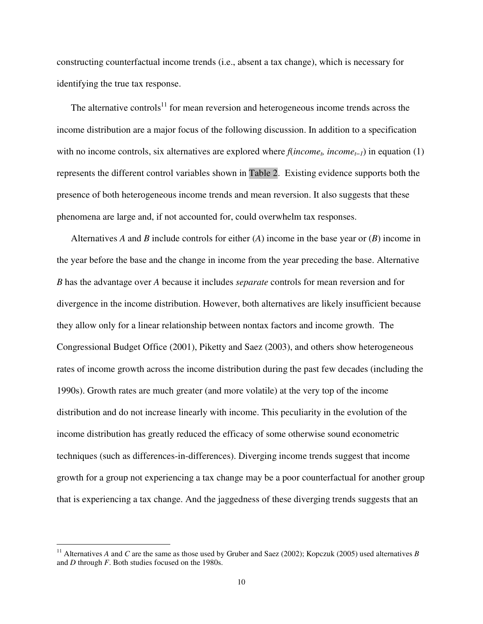constructing counterfactual income trends (i.e., absent a tax change), which is necessary for identifying the true tax response.

The alternative controls<sup>11</sup> for mean reversion and heterogeneous income trends across the income distribution are a major focus of the following discussion. In addition to a specification with no income controls, six alternatives are explored where  $f(income<sub>t</sub>$ ,  $income<sub>t-1</sub>)$  in equation (1) represents the different control variables shown in Table 2. Existing evidence supports both the presence of both heterogeneous income trends and mean reversion. It also suggests that these phenomena are large and, if not accounted for, could overwhelm tax responses.

Alternatives *A* and *B* include controls for either (*A*) income in the base year or (*B*) income in the year before the base and the change in income from the year preceding the base. Alternative *B* has the advantage over *A* because it includes *separate* controls for mean reversion and for divergence in the income distribution. However, both alternatives are likely insufficient because they allow only for a linear relationship between nontax factors and income growth. The Congressional Budget Office (2001), Piketty and Saez (2003), and others show heterogeneous rates of income growth across the income distribution during the past few decades (including the 1990s). Growth rates are much greater (and more volatile) at the very top of the income distribution and do not increase linearly with income. This peculiarity in the evolution of the income distribution has greatly reduced the efficacy of some otherwise sound econometric techniques (such as differences-in-differences). Diverging income trends suggest that income growth for a group not experiencing a tax change may be a poor counterfactual for another group that is experiencing a tax change. And the jaggedness of these diverging trends suggests that an

<sup>&</sup>lt;sup>11</sup> Alternatives *A* and *C* are the same as those used by Gruber and Saez (2002); Kopczuk (2005) used alternatives *B* and *D* through *F*. Both studies focused on the 1980s.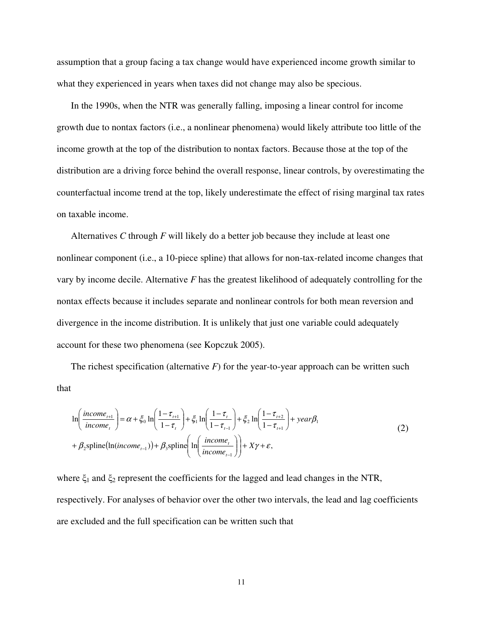assumption that a group facing a tax change would have experienced income growth similar to what they experienced in years when taxes did not change may also be specious.

In the 1990s, when the NTR was generally falling, imposing a linear control for income growth due to nontax factors (i.e., a nonlinear phenomena) would likely attribute too little of the income growth at the top of the distribution to nontax factors. Because those at the top of the distribution are a driving force behind the overall response, linear controls, by overestimating the counterfactual income trend at the top, likely underestimate the effect of rising marginal tax rates on taxable income.

Alternatives *C* through *F* will likely do a better job because they include at least one nonlinear component (i.e., a 10-piece spline) that allows for non-tax-related income changes that vary by income decile. Alternative *F* has the greatest likelihood of adequately controlling for the nontax effects because it includes separate and nonlinear controls for both mean reversion and divergence in the income distribution. It is unlikely that just one variable could adequately account for these two phenomena (see Kopczuk 2005).

The richest specification (alternative *F*) for the year-to-year approach can be written such that

$$
\ln\left(\frac{income_{t+1}}{income_{t}}\right) = \alpha + \xi_0 \ln\left(\frac{1-\tau_{t+1}}{1-\tau_{t}}\right) + \xi_1 \ln\left(\frac{1-\tau_{t}}{1-\tau_{t-1}}\right) + \xi_2 \ln\left(\frac{1-\tau_{t+2}}{1-\tau_{t+1}}\right) + year\beta_1
$$
\n
$$
+ \beta_2 \text{spline}(\ln(income_{t-1})) + \beta_3 \text{spline}\left(\ln\left(\frac{income_{t}}{income_{t-1}}\right)\right) + X\gamma + \varepsilon,
$$
\n(2)

where  $\xi_1$  and  $\xi_2$  represent the coefficients for the lagged and lead changes in the NTR, respectively. For analyses of behavior over the other two intervals, the lead and lag coefficients are excluded and the full specification can be written such that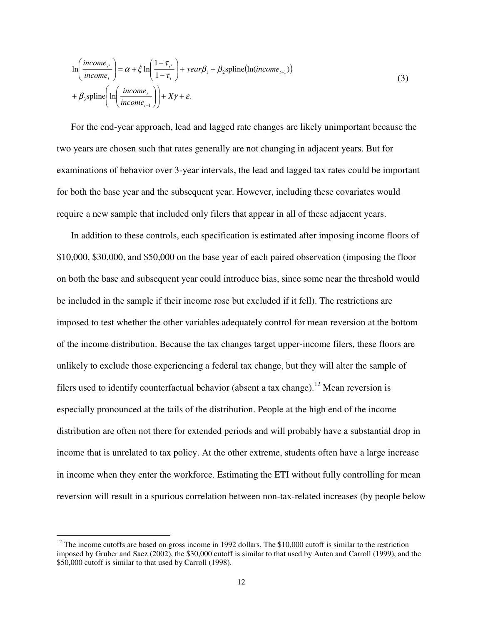$$
\ln\left(\frac{income_{t^s}}{income_{t}}\right) = \alpha + \xi \ln\left(\frac{1 - \tau_{t^s}}{1 - \tau_{t}}\right) + year\beta_1 + \beta_2 \text{spline}(\ln(income_{t-1}))
$$
\n
$$
+ \beta_3 \text{spline}\left(\ln\left(\frac{income_{t}}{income_{t-1}}\right)\right) + X\gamma + \varepsilon.
$$
\n(3)

For the end-year approach, lead and lagged rate changes are likely unimportant because the two years are chosen such that rates generally are not changing in adjacent years. But for examinations of behavior over 3-year intervals, the lead and lagged tax rates could be important for both the base year and the subsequent year. However, including these covariates would require a new sample that included only filers that appear in all of these adjacent years.

In addition to these controls, each specification is estimated after imposing income floors of \$10,000, \$30,000, and \$50,000 on the base year of each paired observation (imposing the floor on both the base and subsequent year could introduce bias, since some near the threshold would be included in the sample if their income rose but excluded if it fell). The restrictions are imposed to test whether the other variables adequately control for mean reversion at the bottom of the income distribution. Because the tax changes target upper-income filers, these floors are unlikely to exclude those experiencing a federal tax change, but they will alter the sample of filers used to identify counterfactual behavior (absent a tax change).<sup>12</sup> Mean reversion is especially pronounced at the tails of the distribution. People at the high end of the income distribution are often not there for extended periods and will probably have a substantial drop in income that is unrelated to tax policy. At the other extreme, students often have a large increase in income when they enter the workforce. Estimating the ETI without fully controlling for mean reversion will result in a spurious correlation between non-tax-related increases (by people below

<sup>&</sup>lt;sup>12</sup> The income cutoffs are based on gross income in 1992 dollars. The \$10,000 cutoff is similar to the restriction imposed by Gruber and Saez (2002), the \$30,000 cutoff is similar to that used by Auten and Carroll (1999), and the \$50,000 cutoff is similar to that used by Carroll (1998).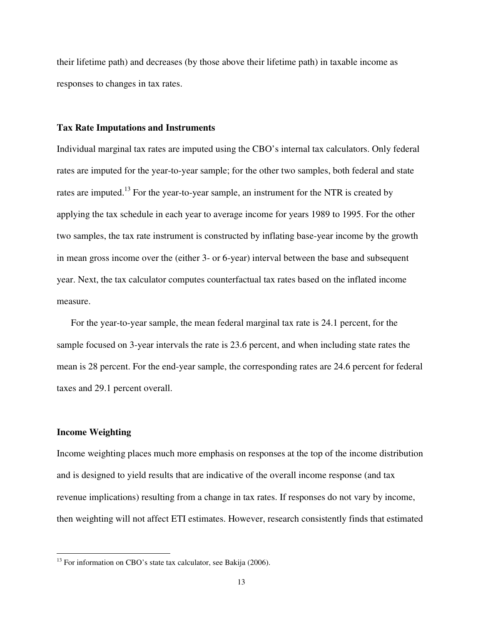their lifetime path) and decreases (by those above their lifetime path) in taxable income as responses to changes in tax rates.

#### **Tax Rate Imputations and Instruments**

Individual marginal tax rates are imputed using the CBO's internal tax calculators. Only federal rates are imputed for the year-to-year sample; for the other two samples, both federal and state rates are imputed.<sup>13</sup> For the year-to-year sample, an instrument for the NTR is created by applying the tax schedule in each year to average income for years 1989 to 1995. For the other two samples, the tax rate instrument is constructed by inflating base-year income by the growth in mean gross income over the (either 3- or 6-year) interval between the base and subsequent year. Next, the tax calculator computes counterfactual tax rates based on the inflated income measure.

For the year-to-year sample, the mean federal marginal tax rate is 24.1 percent, for the sample focused on 3-year intervals the rate is 23.6 percent, and when including state rates the mean is 28 percent. For the end-year sample, the corresponding rates are 24.6 percent for federal taxes and 29.1 percent overall.

# **Income Weighting**

Income weighting places much more emphasis on responses at the top of the income distribution and is designed to yield results that are indicative of the overall income response (and tax revenue implications) resulting from a change in tax rates. If responses do not vary by income, then weighting will not affect ETI estimates. However, research consistently finds that estimated

 $13$  For information on CBO's state tax calculator, see Bakija (2006).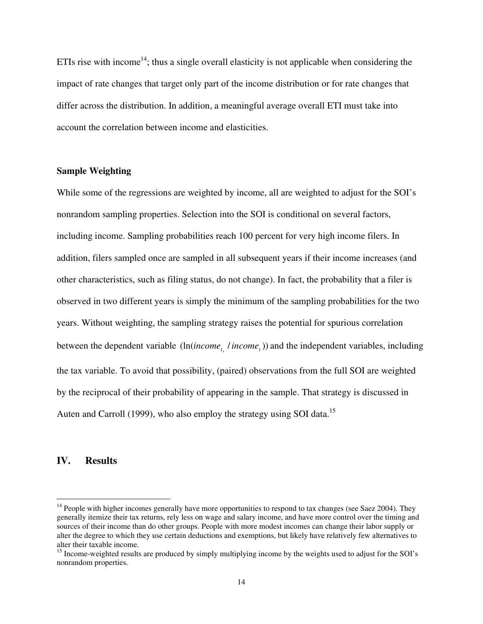ETIs rise with income<sup>14</sup>; thus a single overall elasticity is not applicable when considering the impact of rate changes that target only part of the income distribution or for rate changes that differ across the distribution. In addition, a meaningful average overall ETI must take into account the correlation between income and elasticities.

# **Sample Weighting**

While some of the regressions are weighted by income, all are weighted to adjust for the SOI's nonrandom sampling properties. Selection into the SOI is conditional on several factors, including income. Sampling probabilities reach 100 percent for very high income filers. In addition, filers sampled once are sampled in all subsequent years if their income increases (and other characteristics, such as filing status, do not change). In fact, the probability that a filer is observed in two different years is simply the minimum of the sampling probabilities for the two years. Without weighting, the sampling strategy raises the potential for spurious correlation between the dependent variable  $(ln(income_t, /income_t))$  and the independent variables, including the tax variable. To avoid that possibility, (paired) observations from the full SOI are weighted by the reciprocal of their probability of appearing in the sample. That strategy is discussed in Auten and Carroll (1999), who also employ the strategy using SOI data.<sup>15</sup>

# **IV. Results**

 $14$  People with higher incomes generally have more opportunities to respond to tax changes (see Saez 2004). They generally itemize their tax returns, rely less on wage and salary income, and have more control over the timing and sources of their income than do other groups. People with more modest incomes can change their labor supply or alter the degree to which they use certain deductions and exemptions, but likely have relatively few alternatives to alter their taxable income.

<sup>&</sup>lt;sup>15</sup> Income-weighted results are produced by simply multiplying income by the weights used to adjust for the SOI's nonrandom properties.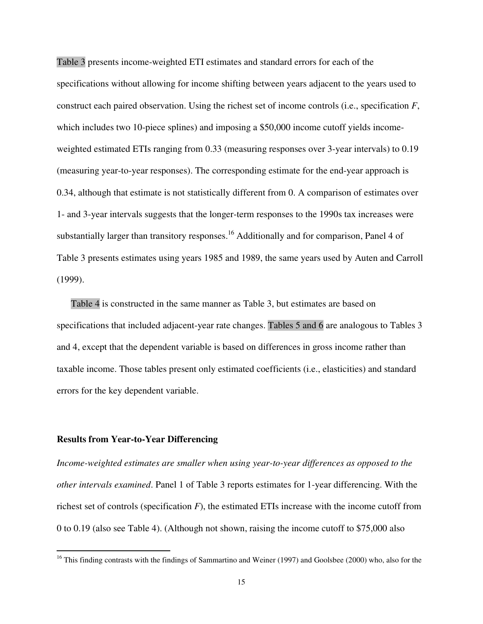Table 3 presents income-weighted ETI estimates and standard errors for each of the specifications without allowing for income shifting between years adjacent to the years used to construct each paired observation. Using the richest set of income controls (i.e., specification *F*, which includes two 10-piece splines) and imposing a \$50,000 income cutoff yields incomeweighted estimated ETIs ranging from 0.33 (measuring responses over 3-year intervals) to 0.19 (measuring year-to-year responses). The corresponding estimate for the end-year approach is 0.34, although that estimate is not statistically different from 0. A comparison of estimates over 1- and 3-year intervals suggests that the longer-term responses to the 1990s tax increases were substantially larger than transitory responses.<sup>16</sup> Additionally and for comparison, Panel 4 of Table 3 presents estimates using years 1985 and 1989, the same years used by Auten and Carroll (1999).

Table 4 is constructed in the same manner as Table 3, but estimates are based on specifications that included adjacent-year rate changes. Tables 5 and 6 are analogous to Tables 3 and 4, except that the dependent variable is based on differences in gross income rather than taxable income. Those tables present only estimated coefficients (i.e., elasticities) and standard errors for the key dependent variable.

#### **Results from Year-to-Year Differencing**

*Income-weighted estimates are smaller when using year-to-year differences as opposed to the other intervals examined*. Panel 1 of Table 3 reports estimates for 1-year differencing. With the richest set of controls (specification *F*), the estimated ETIs increase with the income cutoff from 0 to 0.19 (also see Table 4). (Although not shown, raising the income cutoff to \$75,000 also

<sup>&</sup>lt;sup>16</sup> This finding contrasts with the findings of Sammartino and Weiner (1997) and Goolsbee (2000) who, also for the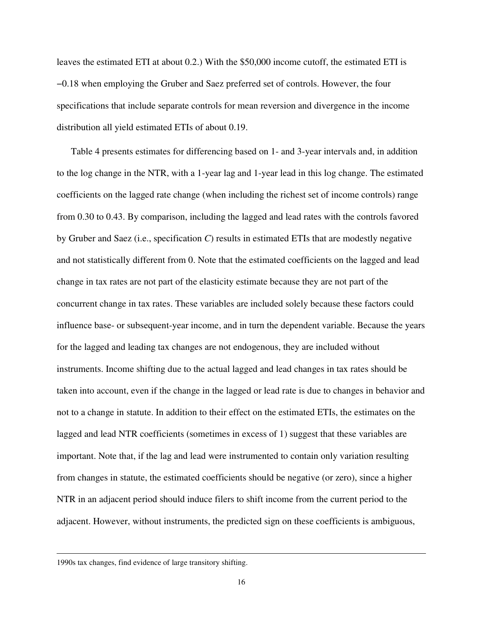leaves the estimated ETI at about 0.2.) With the \$50,000 income cutoff, the estimated ETI is −0.18 when employing the Gruber and Saez preferred set of controls. However, the four specifications that include separate controls for mean reversion and divergence in the income distribution all yield estimated ETIs of about 0.19.

Table 4 presents estimates for differencing based on 1- and 3-year intervals and, in addition to the log change in the NTR, with a 1-year lag and 1-year lead in this log change. The estimated coefficients on the lagged rate change (when including the richest set of income controls) range from 0.30 to 0.43. By comparison, including the lagged and lead rates with the controls favored by Gruber and Saez (i.e., specification *C*) results in estimated ETIs that are modestly negative and not statistically different from 0. Note that the estimated coefficients on the lagged and lead change in tax rates are not part of the elasticity estimate because they are not part of the concurrent change in tax rates. These variables are included solely because these factors could influence base- or subsequent-year income, and in turn the dependent variable. Because the years for the lagged and leading tax changes are not endogenous, they are included without instruments. Income shifting due to the actual lagged and lead changes in tax rates should be taken into account, even if the change in the lagged or lead rate is due to changes in behavior and not to a change in statute. In addition to their effect on the estimated ETIs, the estimates on the lagged and lead NTR coefficients (sometimes in excess of 1) suggest that these variables are important. Note that, if the lag and lead were instrumented to contain only variation resulting from changes in statute, the estimated coefficients should be negative (or zero), since a higher NTR in an adjacent period should induce filers to shift income from the current period to the adjacent. However, without instruments, the predicted sign on these coefficients is ambiguous,

<sup>1990</sup>s tax changes, find evidence of large transitory shifting.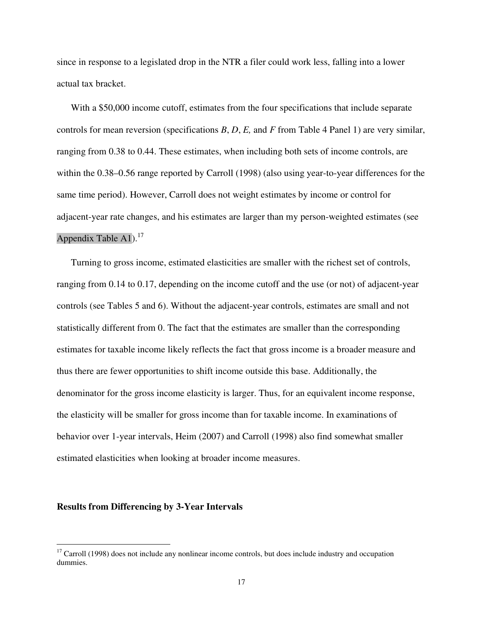since in response to a legislated drop in the NTR a filer could work less, falling into a lower actual tax bracket.

With a \$50,000 income cutoff, estimates from the four specifications that include separate controls for mean reversion (specifications *B*, *D*, *E,* and *F* from Table 4 Panel 1) are very similar, ranging from 0.38 to 0.44. These estimates, when including both sets of income controls, are within the 0.38–0.56 range reported by Carroll (1998) (also using year-to-year differences for the same time period). However, Carroll does not weight estimates by income or control for adjacent-year rate changes, and his estimates are larger than my person-weighted estimates (see Appendix Table A1).<sup>17</sup>

Turning to gross income, estimated elasticities are smaller with the richest set of controls, ranging from 0.14 to 0.17, depending on the income cutoff and the use (or not) of adjacent-year controls (see Tables 5 and 6). Without the adjacent-year controls, estimates are small and not statistically different from 0. The fact that the estimates are smaller than the corresponding estimates for taxable income likely reflects the fact that gross income is a broader measure and thus there are fewer opportunities to shift income outside this base. Additionally, the denominator for the gross income elasticity is larger. Thus, for an equivalent income response, the elasticity will be smaller for gross income than for taxable income. In examinations of behavior over 1-year intervals, Heim (2007) and Carroll (1998) also find somewhat smaller estimated elasticities when looking at broader income measures.

# **Results from Differencing by 3-Year Intervals**

 $17$  Carroll (1998) does not include any nonlinear income controls, but does include industry and occupation dummies.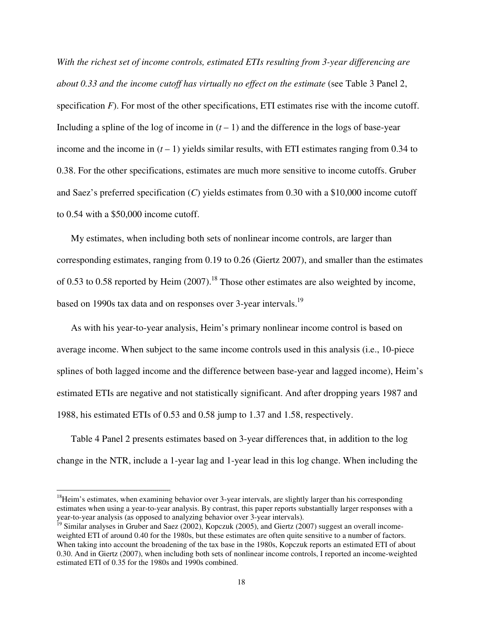*With the richest set of income controls, estimated ETIs resulting from 3-year differencing are about 0.33 and the income cutoff has virtually no effect on the estimate* (see Table 3 Panel 2, specification *F*). For most of the other specifications, ETI estimates rise with the income cutoff. Including a spline of the log of income in  $(t-1)$  and the difference in the logs of base-year income and the income in  $(t - 1)$  yields similar results, with ETI estimates ranging from 0.34 to 0.38. For the other specifications, estimates are much more sensitive to income cutoffs. Gruber and Saez's preferred specification (*C*) yields estimates from 0.30 with a \$10,000 income cutoff to 0.54 with a \$50,000 income cutoff.

My estimates, when including both sets of nonlinear income controls, are larger than corresponding estimates, ranging from 0.19 to 0.26 (Giertz 2007), and smaller than the estimates of 0.53 to 0.58 reported by Heim  $(2007)$ .<sup>18</sup> Those other estimates are also weighted by income, based on 1990s tax data and on responses over 3-year intervals.<sup>19</sup>

As with his year-to-year analysis, Heim's primary nonlinear income control is based on average income. When subject to the same income controls used in this analysis (i.e., 10-piece splines of both lagged income and the difference between base-year and lagged income), Heim's estimated ETIs are negative and not statistically significant. And after dropping years 1987 and 1988, his estimated ETIs of 0.53 and 0.58 jump to 1.37 and 1.58, respectively.

Table 4 Panel 2 presents estimates based on 3-year differences that, in addition to the log change in the NTR, include a 1-year lag and 1-year lead in this log change. When including the

 $18$ Heim's estimates, when examining behavior over 3-year intervals, are slightly larger than his corresponding estimates when using a year-to-year analysis. By contrast, this paper reports substantially larger responses with a year-to-year analysis (as opposed to analyzing behavior over 3-year intervals).

<sup>&</sup>lt;sup>19</sup> Similar analyses in Gruber and Saez (2002), Kopczuk (2005), and Giertz (2007) suggest an overall incomeweighted ETI of around 0.40 for the 1980s, but these estimates are often quite sensitive to a number of factors. When taking into account the broadening of the tax base in the 1980s, Kopczuk reports an estimated ETI of about 0.30. And in Giertz (2007), when including both sets of nonlinear income controls, I reported an income-weighted estimated ETI of 0.35 for the 1980s and 1990s combined.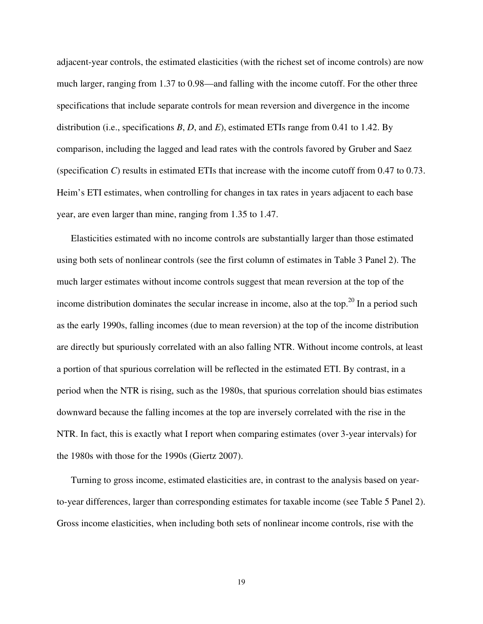adjacent-year controls, the estimated elasticities (with the richest set of income controls) are now much larger, ranging from 1.37 to 0.98—and falling with the income cutoff. For the other three specifications that include separate controls for mean reversion and divergence in the income distribution (i.e., specifications *B*, *D*, and *E*), estimated ETIs range from 0.41 to 1.42. By comparison, including the lagged and lead rates with the controls favored by Gruber and Saez (specification *C*) results in estimated ETIs that increase with the income cutoff from 0.47 to 0.73. Heim's ETI estimates, when controlling for changes in tax rates in years adjacent to each base year, are even larger than mine, ranging from 1.35 to 1.47.

Elasticities estimated with no income controls are substantially larger than those estimated using both sets of nonlinear controls (see the first column of estimates in Table 3 Panel 2). The much larger estimates without income controls suggest that mean reversion at the top of the income distribution dominates the secular increase in income, also at the top.<sup>20</sup> In a period such as the early 1990s, falling incomes (due to mean reversion) at the top of the income distribution are directly but spuriously correlated with an also falling NTR. Without income controls, at least a portion of that spurious correlation will be reflected in the estimated ETI. By contrast, in a period when the NTR is rising, such as the 1980s, that spurious correlation should bias estimates downward because the falling incomes at the top are inversely correlated with the rise in the NTR. In fact, this is exactly what I report when comparing estimates (over 3-year intervals) for the 1980s with those for the 1990s (Giertz 2007).

Turning to gross income, estimated elasticities are, in contrast to the analysis based on yearto-year differences, larger than corresponding estimates for taxable income (see Table 5 Panel 2). Gross income elasticities, when including both sets of nonlinear income controls, rise with the

19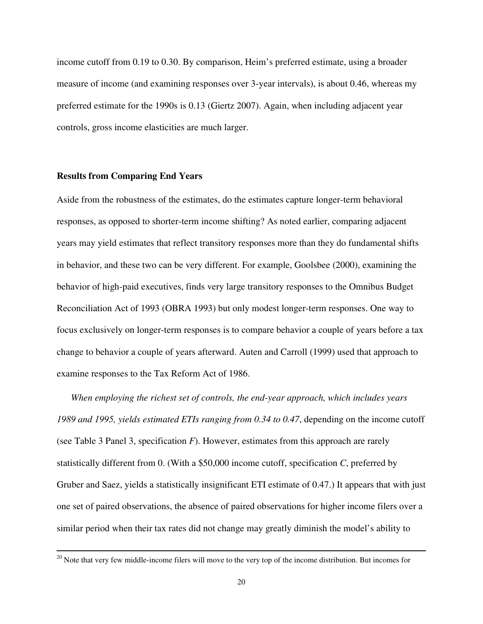income cutoff from 0.19 to 0.30. By comparison, Heim's preferred estimate, using a broader measure of income (and examining responses over 3-year intervals), is about 0.46, whereas my preferred estimate for the 1990s is 0.13 (Giertz 2007). Again, when including adjacent year controls, gross income elasticities are much larger.

## **Results from Comparing End Years**

Aside from the robustness of the estimates, do the estimates capture longer-term behavioral responses, as opposed to shorter-term income shifting? As noted earlier, comparing adjacent years may yield estimates that reflect transitory responses more than they do fundamental shifts in behavior, and these two can be very different. For example, Goolsbee (2000), examining the behavior of high-paid executives, finds very large transitory responses to the Omnibus Budget Reconciliation Act of 1993 (OBRA 1993) but only modest longer-term responses. One way to focus exclusively on longer-term responses is to compare behavior a couple of years before a tax change to behavior a couple of years afterward. Auten and Carroll (1999) used that approach to examine responses to the Tax Reform Act of 1986.

*When employing the richest set of controls, the end-year approach, which includes years 1989 and 1995, yields estimated ETIs ranging from 0.34 to 0.47*, depending on the income cutoff (see Table 3 Panel 3, specification *F*). However, estimates from this approach are rarely statistically different from 0. (With a \$50,000 income cutoff, specification *C*, preferred by Gruber and Saez, yields a statistically insignificant ETI estimate of 0.47.) It appears that with just one set of paired observations, the absence of paired observations for higher income filers over a similar period when their tax rates did not change may greatly diminish the model's ability to

 $20$  Note that very few middle-income filers will move to the very top of the income distribution. But incomes for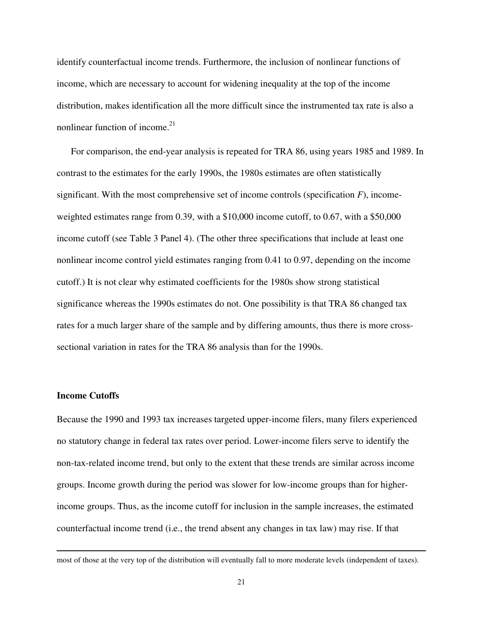identify counterfactual income trends. Furthermore, the inclusion of nonlinear functions of income, which are necessary to account for widening inequality at the top of the income distribution, makes identification all the more difficult since the instrumented tax rate is also a nonlinear function of income.<sup>21</sup>

For comparison, the end-year analysis is repeated for TRA 86, using years 1985 and 1989. In contrast to the estimates for the early 1990s, the 1980s estimates are often statistically significant. With the most comprehensive set of income controls (specification *F*), incomeweighted estimates range from 0.39, with a \$10,000 income cutoff, to 0.67, with a \$50,000 income cutoff (see Table 3 Panel 4). (The other three specifications that include at least one nonlinear income control yield estimates ranging from 0.41 to 0.97, depending on the income cutoff.) It is not clear why estimated coefficients for the 1980s show strong statistical significance whereas the 1990s estimates do not. One possibility is that TRA 86 changed tax rates for a much larger share of the sample and by differing amounts, thus there is more crosssectional variation in rates for the TRA 86 analysis than for the 1990s.

#### **Income Cutoffs**

Because the 1990 and 1993 tax increases targeted upper-income filers, many filers experienced no statutory change in federal tax rates over period. Lower-income filers serve to identify the non-tax-related income trend, but only to the extent that these trends are similar across income groups. Income growth during the period was slower for low-income groups than for higherincome groups. Thus, as the income cutoff for inclusion in the sample increases, the estimated counterfactual income trend (i.e., the trend absent any changes in tax law) may rise. If that

most of those at the very top of the distribution will eventually fall to more moderate levels (independent of taxes).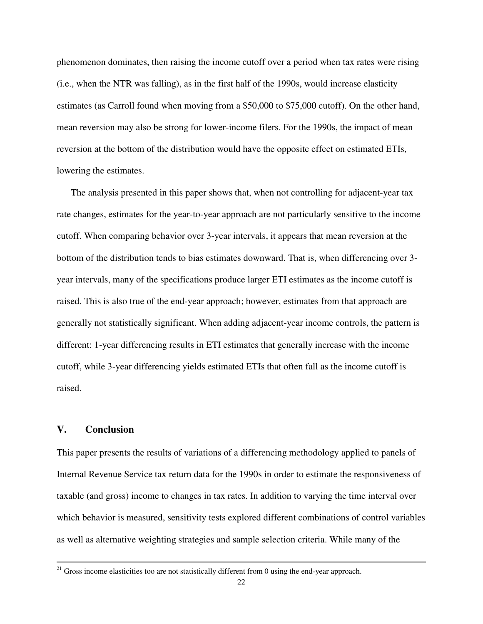phenomenon dominates, then raising the income cutoff over a period when tax rates were rising (i.e., when the NTR was falling), as in the first half of the 1990s, would increase elasticity estimates (as Carroll found when moving from a \$50,000 to \$75,000 cutoff). On the other hand, mean reversion may also be strong for lower-income filers. For the 1990s, the impact of mean reversion at the bottom of the distribution would have the opposite effect on estimated ETIs, lowering the estimates.

The analysis presented in this paper shows that, when not controlling for adjacent-year tax rate changes, estimates for the year-to-year approach are not particularly sensitive to the income cutoff. When comparing behavior over 3-year intervals, it appears that mean reversion at the bottom of the distribution tends to bias estimates downward. That is, when differencing over 3 year intervals, many of the specifications produce larger ETI estimates as the income cutoff is raised. This is also true of the end-year approach; however, estimates from that approach are generally not statistically significant. When adding adjacent-year income controls, the pattern is different: 1-year differencing results in ETI estimates that generally increase with the income cutoff, while 3-year differencing yields estimated ETIs that often fall as the income cutoff is raised.

# **V. Conclusion**

This paper presents the results of variations of a differencing methodology applied to panels of Internal Revenue Service tax return data for the 1990s in order to estimate the responsiveness of taxable (and gross) income to changes in tax rates. In addition to varying the time interval over which behavior is measured, sensitivity tests explored different combinations of control variables as well as alternative weighting strategies and sample selection criteria. While many of the

 $21$  Gross income elasticities too are not statistically different from 0 using the end-year approach.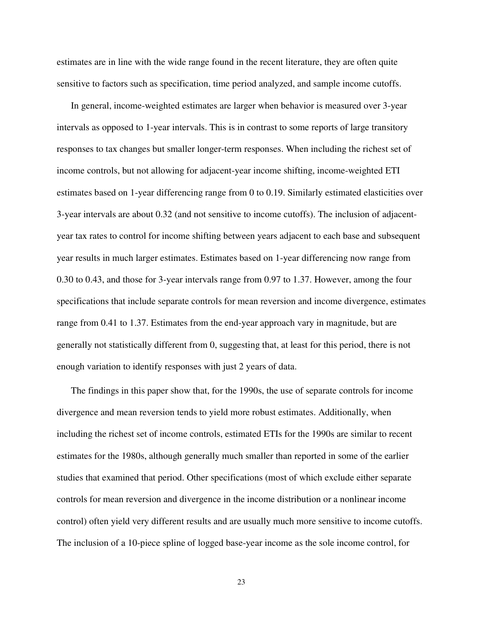estimates are in line with the wide range found in the recent literature, they are often quite sensitive to factors such as specification, time period analyzed, and sample income cutoffs.

In general, income-weighted estimates are larger when behavior is measured over 3-year intervals as opposed to 1-year intervals. This is in contrast to some reports of large transitory responses to tax changes but smaller longer-term responses. When including the richest set of income controls, but not allowing for adjacent-year income shifting, income-weighted ETI estimates based on 1-year differencing range from 0 to 0.19. Similarly estimated elasticities over 3-year intervals are about 0.32 (and not sensitive to income cutoffs). The inclusion of adjacentyear tax rates to control for income shifting between years adjacent to each base and subsequent year results in much larger estimates. Estimates based on 1-year differencing now range from 0.30 to 0.43, and those for 3-year intervals range from 0.97 to 1.37. However, among the four specifications that include separate controls for mean reversion and income divergence, estimates range from 0.41 to 1.37. Estimates from the end-year approach vary in magnitude, but are generally not statistically different from 0, suggesting that, at least for this period, there is not enough variation to identify responses with just 2 years of data.

The findings in this paper show that, for the 1990s, the use of separate controls for income divergence and mean reversion tends to yield more robust estimates. Additionally, when including the richest set of income controls, estimated ETIs for the 1990s are similar to recent estimates for the 1980s, although generally much smaller than reported in some of the earlier studies that examined that period. Other specifications (most of which exclude either separate controls for mean reversion and divergence in the income distribution or a nonlinear income control) often yield very different results and are usually much more sensitive to income cutoffs. The inclusion of a 10-piece spline of logged base-year income as the sole income control, for

23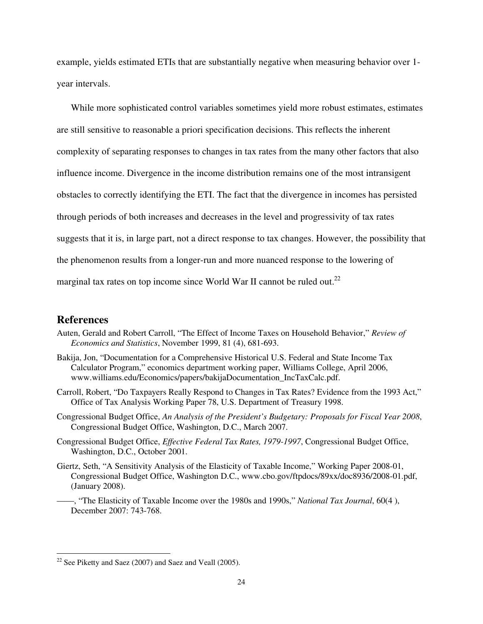example, yields estimated ETIs that are substantially negative when measuring behavior over 1 year intervals.

While more sophisticated control variables sometimes yield more robust estimates, estimates are still sensitive to reasonable a priori specification decisions. This reflects the inherent complexity of separating responses to changes in tax rates from the many other factors that also influence income. Divergence in the income distribution remains one of the most intransigent obstacles to correctly identifying the ETI. The fact that the divergence in incomes has persisted through periods of both increases and decreases in the level and progressivity of tax rates suggests that it is, in large part, not a direct response to tax changes. However, the possibility that the phenomenon results from a longer-run and more nuanced response to the lowering of marginal tax rates on top income since World War II cannot be ruled out.<sup>22</sup>

# **References**

- Auten, Gerald and Robert Carroll, "The Effect of Income Taxes on Household Behavior," *Review of Economics and Statistics*, November 1999, 81 (4), 681-693.
- Bakija, Jon, "Documentation for a Comprehensive Historical U.S. Federal and State Income Tax Calculator Program," economics department working paper, Williams College, April 2006, www.williams.edu/Economics/papers/bakijaDocumentation\_IncTaxCalc.pdf.
- Carroll, Robert, "Do Taxpayers Really Respond to Changes in Tax Rates? Evidence from the 1993 Act," Office of Tax Analysis Working Paper 78, U.S. Department of Treasury 1998.
- Congressional Budget Office, *An Analysis of the President's Budgetary: Proposals for Fiscal Year 2008*, Congressional Budget Office, Washington, D.C., March 2007.
- Congressional Budget Office, *Effective Federal Tax Rates, 1979-1997*, Congressional Budget Office, Washington, D.C., October 2001.
- Giertz, Seth, "A Sensitivity Analysis of the Elasticity of Taxable Income," Working Paper 2008-01, Congressional Budget Office, Washington D.C., www.cbo.gov/ftpdocs/89xx/doc8936/2008-01.pdf, (January 2008).
- ——, "The Elasticity of Taxable Income over the 1980s and 1990s," *National Tax Journal*, 60(4 ), December 2007: 743-768.

 $22$  See Piketty and Saez (2007) and Saez and Veall (2005).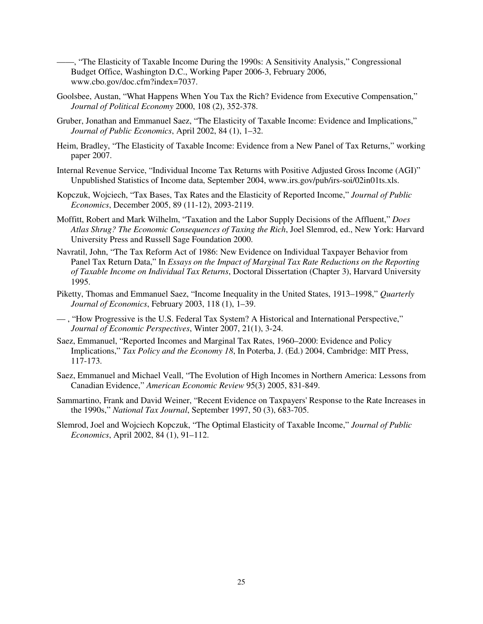- ——, "The Elasticity of Taxable Income During the 1990s: A Sensitivity Analysis," Congressional Budget Office, Washington D.C., Working Paper 2006-3, February 2006, www.cbo.gov/doc.cfm?index=7037.
- Goolsbee, Austan, "What Happens When You Tax the Rich? Evidence from Executive Compensation," *Journal of Political Economy* 2000, 108 (2), 352-378.
- Gruber, Jonathan and Emmanuel Saez, "The Elasticity of Taxable Income: Evidence and Implications," *Journal of Public Economics*, April 2002, 84 (1), 1–32.
- Heim, Bradley, "The Elasticity of Taxable Income: Evidence from a New Panel of Tax Returns," working paper 2007.
- Internal Revenue Service, "Individual Income Tax Returns with Positive Adjusted Gross Income (AGI)" Unpublished Statistics of Income data, September 2004, www.irs.gov/pub/irs-soi/02in01ts.xls.
- Kopczuk, Wojciech, "Tax Bases, Tax Rates and the Elasticity of Reported Income," *Journal of Public Economics*, December 2005, 89 (11-12), 2093-2119.
- Moffitt, Robert and Mark Wilhelm, "Taxation and the Labor Supply Decisions of the Affluent," *Does Atlas Shrug? The Economic Consequences of Taxing the Rich*, Joel Slemrod, ed., New York: Harvard University Press and Russell Sage Foundation 2000.
- Navratil, John, "The Tax Reform Act of 1986: New Evidence on Individual Taxpayer Behavior from Panel Tax Return Data," In *Essays on the Impact of Marginal Tax Rate Reductions on the Reporting of Taxable Income on Individual Tax Returns*, Doctoral Dissertation (Chapter 3), Harvard University 1995.
- Piketty, Thomas and Emmanuel Saez, "Income Inequality in the United States, 1913–1998," *Quarterly Journal of Economics*, February 2003, 118 (1), 1–39.
- , "How Progressive is the U.S. Federal Tax System? A Historical and International Perspective," *Journal of Economic Perspectives*, Winter 2007, 21(1), 3-24.
- Saez, Emmanuel, "Reported Incomes and Marginal Tax Rates, 1960–2000: Evidence and Policy Implications," *Tax Policy and the Economy 18*, In Poterba, J. (Ed.) 2004, Cambridge: MIT Press, 117-173.
- Saez, Emmanuel and Michael Veall, "The Evolution of High Incomes in Northern America: Lessons from Canadian Evidence," *American Economic Review* 95(3) 2005, 831-849.
- Sammartino, Frank and David Weiner, "Recent Evidence on Taxpayers' Response to the Rate Increases in the 1990s," *National Tax Journal*, September 1997, 50 (3), 683-705.
- Slemrod, Joel and Wojciech Kopczuk, "The Optimal Elasticity of Taxable Income," *Journal of Public Economics*, April 2002, 84 (1), 91–112.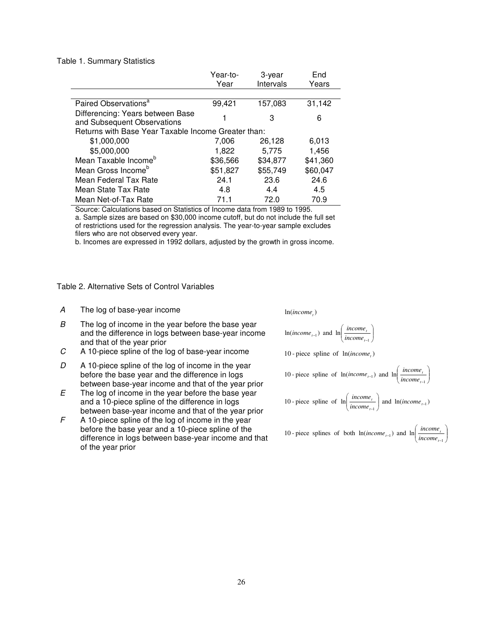#### Table 1. Summary Statistics

|                                                                 | Year-to-<br>Year | 3-year<br>Intervals | End<br>Years |  |  |  |  |  |
|-----------------------------------------------------------------|------------------|---------------------|--------------|--|--|--|--|--|
|                                                                 |                  |                     |              |  |  |  |  |  |
| Paired Observations <sup>a</sup>                                | 99,421           | 157,083             | 31,142       |  |  |  |  |  |
| Differencing: Years between Base<br>and Subsequent Observations |                  | З                   | 6            |  |  |  |  |  |
| Returns with Base Year Taxable Income Greater than:             |                  |                     |              |  |  |  |  |  |
| \$1,000,000                                                     | 7,006            | 26,128              | 6,013        |  |  |  |  |  |
| \$5,000,000                                                     | 1,822            | 5.775               | 1,456        |  |  |  |  |  |
| Mean Taxable Income <sup>b</sup>                                | \$36,566         | \$34,877            | \$41,360     |  |  |  |  |  |
| Mean Gross Income <sup>b</sup>                                  | \$51,827         | \$55,749            | \$60,047     |  |  |  |  |  |
| Mean Federal Tax Rate                                           | 24.1             | 23.6                | 24.6         |  |  |  |  |  |
| Mean State Tax Rate                                             | 4.8              | 4.4                 | 4.5          |  |  |  |  |  |
| Mean Net-of-Tax Rate                                            | 71.1             | 72.0                | 70.9         |  |  |  |  |  |

Source: Calculations based on Statistics of Income data from 1989 to 1995. a. Sample sizes are based on \$30,000 income cutoff, but do not include the full set of restrictions used for the regression analysis. The year-to-year sample excludes filers who are not observed every year.

b. Incomes are expressed in 1992 dollars, adjusted by the growth in gross income.

## Table 2. Alternative Sets of Control Variables

- A The log of base-year income
- $B$  The log of income in the year before the base year and the difference in logs between base-year income and that of the year prior
- C A 10-piece spline of the log of base-year income
- $D$  A 10-piece spline of the log of income in the year before the base year and the difference in logs between base-year income and that of the year prior
- $E$  The log of income in the year before the base year and a 10-piece spline of the difference in logs between base-year income and that of the year prior
- $F$  A 10-piece spline of the log of income in the year before the base year and a 10-piece spline of the difference in logs between base-year income and that of the year prior

*income*

$$
\ln(income_{t-1}) \text{ and } \ln\left(\frac{income_t}{income_{t-1}}\right)
$$

10-piece spline of  $ln(income_t)$ 

10 - piece spline of 
$$
\ln(income_{i-1})
$$
 and  $\ln\left(\frac{income_{i}}{income_{i-1}}\right)$   
10 - piece spline of  $\ln\left(\frac{income_{i}}{income_{i-1}}\right)$  and  $\ln(income_{i-1})$ 

10 - piece splines of both 
$$
\ln(income_{t-1})
$$
 and  $\ln\left(\frac{income_t}{income_{t-1}}\right)$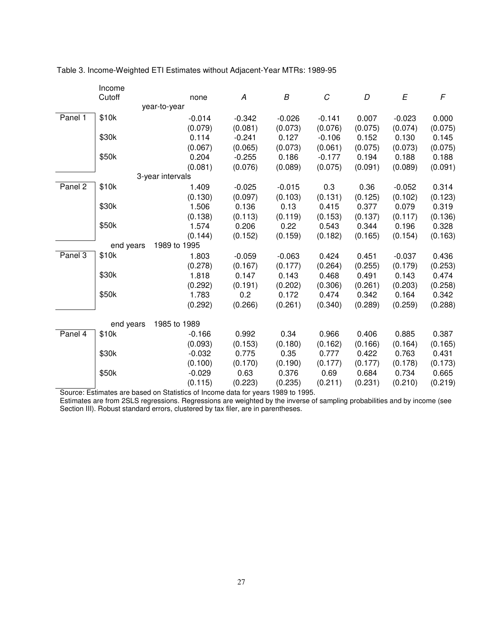|         | Income    |                  |          |          |          |         |          |         |
|---------|-----------|------------------|----------|----------|----------|---------|----------|---------|
|         | Cutoff    | none             | A        | B        | C        | D       | E        | F       |
|         |           | year-to-year     |          |          |          |         |          |         |
| Panel 1 | \$10k     | $-0.014$         | $-0.342$ | $-0.026$ | $-0.141$ | 0.007   | $-0.023$ | 0.000   |
|         |           | (0.079)          | (0.081)  | (0.073)  | (0.076)  | (0.075) | (0.074)  | (0.075) |
|         | \$30k     | 0.114            | $-0.241$ | 0.127    | $-0.106$ | 0.152   | 0.130    | 0.145   |
|         |           | (0.067)          | (0.065)  | (0.073)  | (0.061)  | (0.075) | (0.073)  | (0.075) |
|         | \$50k     | 0.204            | $-0.255$ | 0.186    | $-0.177$ | 0.194   | 0.188    | 0.188   |
|         |           | (0.081)          | (0.076)  | (0.089)  | (0.075)  | (0.091) | (0.089)  | (0.091) |
|         |           | 3-year intervals |          |          |          |         |          |         |
| Panel 2 | \$10k     | 1.409            | $-0.025$ | $-0.015$ | 0.3      | 0.36    | $-0.052$ | 0.314   |
|         |           | (0.130)          | (0.097)  | (0.103)  | (0.131)  | (0.125) | (0.102)  | (0.123) |
|         | \$30k     | 1.506            | 0.136    | 0.13     | 0.415    | 0.377   | 0.079    | 0.319   |
|         |           | (0.138)          | (0.113)  | (0.119)  | (0.153)  | (0.137) | (0.117)  | (0.136) |
|         | \$50k     | 1.574            | 0.206    | 0.22     | 0.543    | 0.344   | 0.196    | 0.328   |
|         |           | (0.144)          | (0.152)  | (0.159)  | (0.182)  | (0.165) | (0.154)  | (0.163) |
|         | end years | 1989 to 1995     |          |          |          |         |          |         |
| Panel 3 | \$10k     | 1.803            | $-0.059$ | $-0.063$ | 0.424    | 0.451   | $-0.037$ | 0.436   |
|         |           | (0.278)          | (0.167)  | (0.177)  | (0.264)  | (0.255) | (0.179)  | (0.253) |
|         | \$30k     | 1.818            | 0.147    | 0.143    | 0.468    | 0.491   | 0.143    | 0.474   |
|         |           | (0.292)          | (0.191)  | (0.202)  | (0.306)  | (0.261) | (0.203)  | (0.258) |
|         | \$50k     | 1.783            | 0.2      | 0.172    | 0.474    | 0.342   | 0.164    | 0.342   |
|         |           | (0.292)          | (0.266)  | (0.261)  | (0.340)  | (0.289) | (0.259)  | (0.288) |
|         | end years | 1985 to 1989     |          |          |          |         |          |         |
| Panel 4 | \$10k     | $-0.166$         | 0.992    | 0.34     | 0.966    | 0.406   | 0.885    | 0.387   |
|         |           | (0.093)          | (0.153)  | (0.180)  | (0.162)  | (0.166) | (0.164)  | (0.165) |
|         | \$30k     | $-0.032$         | 0.775    | 0.35     | 0.777    | 0.422   | 0.763    | 0.431   |
|         |           | (0.100)          | (0.170)  | (0.190)  | (0.177)  | (0.177) | (0.178)  | (0.173) |
|         | \$50k     | $-0.029$         | 0.63     | 0.376    | 0.69     | 0.684   | 0.734    | 0.665   |
|         |           | (0.115)          | (0.223)  | (0.235)  | (0.211)  | (0.231) | (0.210)  | (0.219) |

Table 3. Income-Weighted ETI Estimates without Adjacent-Year MTRs: 1989-95

Source: Estimates are based on Statistics of Income data for years 1989 to 1995.

Estimates are from 2SLS regressions. Regressions are weighted by the inverse of sampling probabilities and by income (see Section III). Robust standard errors, clustered by tax filer, are in parentheses.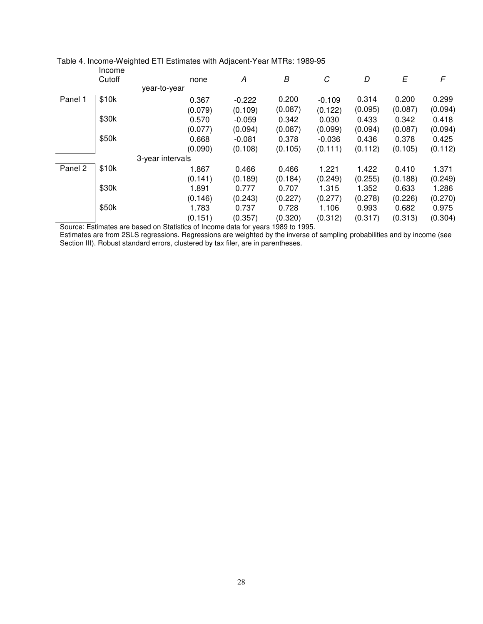|         | Income |                  |         |          |         |          |         |         |         |
|---------|--------|------------------|---------|----------|---------|----------|---------|---------|---------|
|         | Cutoff |                  | none    | A        | В       | C        | D       | E       | F       |
|         |        | year-to-year     |         |          |         |          |         |         |         |
| Panel 1 | \$10k  |                  | 0.367   | $-0.222$ | 0.200   | $-0.109$ | 0.314   | 0.200   | 0.299   |
|         |        |                  | (0.079) | (0.109)  | (0.087) | (0.122)  | (0.095) | (0.087) | (0.094) |
|         | \$30k  |                  | 0.570   | $-0.059$ | 0.342   | 0.030    | 0.433   | 0.342   | 0.418   |
|         |        |                  | (0.077) | (0.094)  | (0.087) | (0.099)  | (0.094) | (0.087) | (0.094) |
|         | \$50k  |                  | 0.668   | $-0.081$ | 0.378   | $-0.036$ | 0.436   | 0.378   | 0.425   |
|         |        |                  | (0.090) | (0.108)  | (0.105) | (0.111)  | (0.112) | (0.105) | (0.112) |
|         |        | 3-year intervals |         |          |         |          |         |         |         |
| Panel 2 | \$10k  |                  | 1.867   | 0.466    | 0.466   | 1.221    | 1.422   | 0.410   | 1.371   |
|         |        |                  | (0.141) | (0.189)  | (0.184) | (0.249)  | (0.255) | (0.188) | (0.249) |
|         | \$30k  |                  | 1.891   | 0.777    | 0.707   | 1.315    | 1.352   | 0.633   | 1.286   |
|         |        |                  | (0.146) | (0.243)  | (0.227) | (0.277)  | (0.278) | (0.226) | (0.270) |
|         | \$50k  |                  | 1.783   | 0.737    | 0.728   | 1.106    | 0.993   | 0.682   | 0.975   |
|         |        |                  | (0.151) | (0.357)  | (0.320) | (0.312)  | (0.317) | (0.313) | (0.304) |

# Table 4. Income-Weighted ETI Estimates with Adjacent-Year MTRs: 1989-95

Source: Estimates are based on Statistics of Income data for years 1989 to 1995.

Estimates are from 2SLS regressions. Regressions are weighted by the inverse of sampling probabilities and by income (see Section III). Robust standard errors, clustered by tax filer, are in parentheses.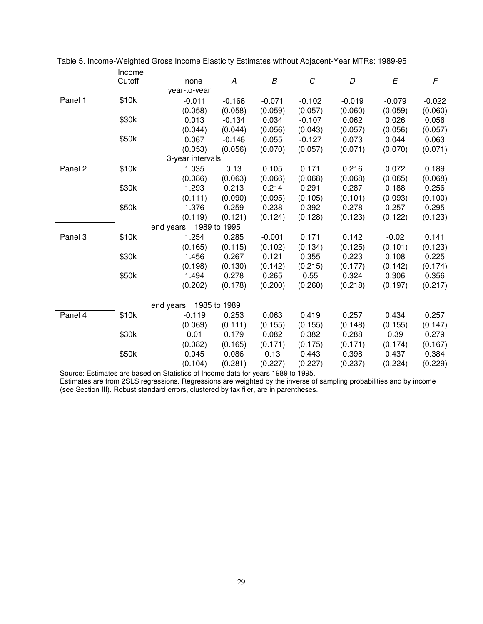| Income                                                                                   |          |
|------------------------------------------------------------------------------------------|----------|
| $\cal C$<br>Cutoff<br>D<br>E<br>A<br>В<br>none                                           | F        |
| year-to-year                                                                             |          |
| Panel 1<br>\$10k<br>$-0.011$<br>$-0.166$<br>$-0.071$<br>$-0.102$<br>$-0.019$<br>$-0.079$ | $-0.022$ |
| (0.058)<br>(0.059)<br>(0.057)<br>(0.060)<br>(0.058)<br>(0.059)                           | (0.060)  |
| \$30k<br>0.013<br>0.034<br>0.062<br>$-0.134$<br>$-0.107$<br>0.026                        | 0.056    |
| (0.044)<br>(0.044)<br>(0.056)<br>(0.043)<br>(0.057)<br>(0.056)                           | (0.057)  |
| \$50k<br>0.067<br>$-0.146$<br>0.055<br>$-0.127$<br>0.073<br>0.044                        | 0.063    |
| (0.053)<br>(0.070)<br>(0.057)<br>(0.070)<br>(0.056)<br>(0.071)                           | (0.071)  |
| 3-year intervals                                                                         |          |
| 1.035<br>Panel 2<br>\$10k<br>0.13<br>0.105<br>0.171<br>0.216<br>0.072                    | 0.189    |
| (0.086)<br>(0.063)<br>(0.066)<br>(0.068)<br>(0.068)<br>(0.065)                           | (0.068)  |
| \$30k<br>1.293<br>0.213<br>0.291<br>0.287<br>0.214<br>0.188                              | 0.256    |
| (0.111)<br>(0.105)<br>(0.101)<br>(0.090)<br>(0.095)<br>(0.093)                           | (0.100)  |
| \$50k<br>0.259<br>0.238<br>0.392<br>0.278<br>0.257<br>1.376                              | 0.295    |
| (0.128)<br>(0.119)<br>(0.121)<br>(0.124)<br>(0.123)<br>(0.122)                           | (0.123)  |
| 1989 to 1995<br>end years                                                                |          |
| \$10k<br>1.254<br>0.285<br>0.171<br>0.142<br>Panel 3<br>$-0.001$<br>$-0.02$              | 0.141    |
| (0.165)<br>(0.115)<br>(0.102)<br>(0.134)<br>(0.125)<br>(0.101)                           | (0.123)  |
| \$30k<br>1.456<br>0.267<br>0.121<br>0.355<br>0.223<br>0.108                              | 0.225    |
| (0.198)<br>(0.130)<br>(0.142)<br>(0.215)<br>(0.177)<br>(0.142)                           | (0.174)  |
| \$50k<br>1.494<br>0.278<br>0.265<br>0.55<br>0.324<br>0.306                               | 0.356    |
| (0.260)<br>(0.202)<br>(0.178)<br>(0.200)<br>(0.218)<br>(0.197)                           | (0.217)  |
| 1985 to 1989<br>end years                                                                |          |
| \$10k<br>$-0.119$<br>0.253<br>0.063<br>0.419<br>0.257<br>Panel 4<br>0.434                | 0.257    |
| (0.069)<br>(0.111)<br>(0.155)<br>(0.155)<br>(0.148)<br>(0.155)                           | (0.147)  |
| \$30k<br>0.01<br>0.179<br>0.382<br>0.288<br>0.39<br>0.082                                | 0.279    |
| (0.082)<br>(0.165)<br>(0.171)<br>(0.175)<br>(0.171)<br>(0.174)                           | (0.167)  |
| \$50k<br>0.045<br>0.086<br>0.13<br>0.443<br>0.398<br>0.437                               | 0.384    |
| (0.104)<br>(0.281)<br>(0.227)<br>(0.227)<br>(0.237)<br>(0.224)                           | (0.229)  |

Table 5. Income-Weighted Gross Income Elasticity Estimates without Adjacent-Year MTRs: 1989-95

Source: Estimates are based on Statistics of Income data for years 1989 to 1995. Estimates are from 2SLS regressions. Regressions are weighted by the inverse of sampling probabilities and by income (see Section III). Robust standard errors, clustered by tax filer, are in parentheses.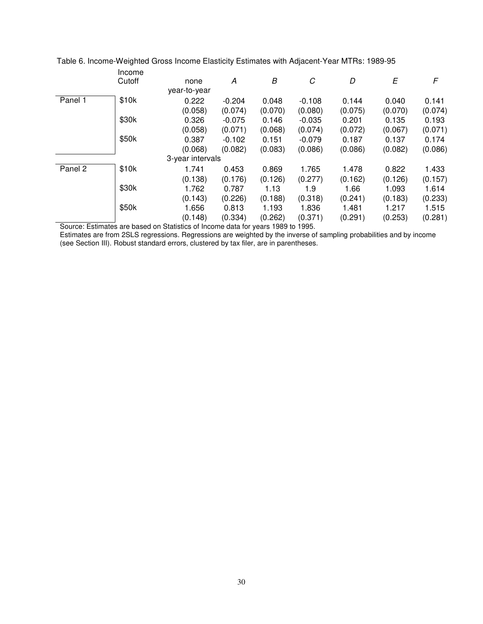|         | Income |                  |          |         |          |         |         |         |
|---------|--------|------------------|----------|---------|----------|---------|---------|---------|
|         | Cutoff | none             | A        | В       | C        | D       | E       | F       |
|         |        | year-to-year     |          |         |          |         |         |         |
| Panel 1 | \$10k  | 0.222            | $-0.204$ | 0.048   | $-0.108$ | 0.144   | 0.040   | 0.141   |
|         |        | (0.058)          | (0.074)  | (0.070) | (0.080)  | (0.075) | (0.070) | (0.074) |
|         | \$30k  | 0.326            | $-0.075$ | 0.146   | $-0.035$ | 0.201   | 0.135   | 0.193   |
|         |        | (0.058)          | (0.071)  | (0.068) | (0.074)  | (0.072) | (0.067) | (0.071) |
|         | \$50k  | 0.387            | $-0.102$ | 0.151   | $-0.079$ | 0.187   | 0.137   | 0.174   |
|         |        | (0.068)          | (0.082)  | (0.083) | (0.086)  | (0.086) | (0.082) | (0.086) |
|         |        | 3-year intervals |          |         |          |         |         |         |
| Panel 2 | \$10k  | 1.741            | 0.453    | 0.869   | 1.765    | 1.478   | 0.822   | 1.433   |
|         |        | (0.138)          | (0.176)  | (0.126) | (0.277)  | (0.162) | (0.126) | (0.157) |
|         | \$30k  | 1.762            | 0.787    | 1.13    | 1.9      | 1.66    | 1.093   | 1.614   |
|         |        | (0.143)          | (0.226)  | (0.188) | (0.318)  | (0.241) | (0.183) | (0.233) |
|         | \$50k  | 1.656            | 0.813    | 1.193   | 1.836    | 1.481   | 1.217   | 1.515   |
|         |        | (0.148)          | (0.334)  | (0.262) | (0.371)  | (0.291) | (0.253) | (0.281) |

Table 6. Income-Weighted Gross Income Elasticity Estimates with Adjacent-Year MTRs: 1989-95

Source: Estimates are based on Statistics of Income data for years 1989 to 1995.

Estimates are from 2SLS regressions. Regressions are weighted by the inverse of sampling probabilities and by income (see Section III). Robust standard errors, clustered by tax filer, are in parentheses.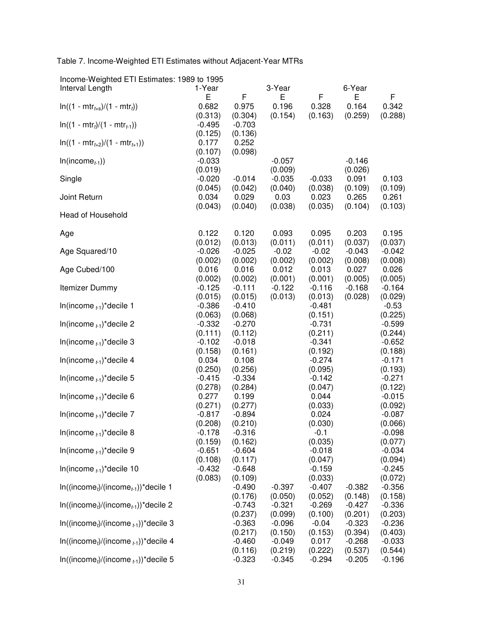Table 7. Income-Weighted ETI Estimates without Adjacent-Year MTRs

| $m$ come-vveigned LTT Lamiates. 1909 to 1999<br>Interval Length | 1-Year                      |                                | 3-Year                      |                             | 6-Year                      |                             |
|-----------------------------------------------------------------|-----------------------------|--------------------------------|-----------------------------|-----------------------------|-----------------------------|-----------------------------|
|                                                                 | E                           | F                              | Е                           | F                           | Е                           | F                           |
| $ln((1 - mtr_{t+s})/(1 - mtr_t))$                               | 0.682<br>(0.313)            | 0.975<br>(0.304)               | 0.196<br>(0.154)            | 0.328<br>(0.163)            | 0.164<br>(0.259)            | 0.342<br>(0.288)            |
| $ln((1 - mtr_t)/(1 - mtr_{t-1}))$                               | $-0.495$<br>(0.125)         | $-0.703$<br>(0.136)            |                             |                             |                             |                             |
| $ln((1 - mtrt+2)/(1 - mtrt+1))$                                 | 0.177<br>(0.107)            | 0.252<br>(0.098)               |                             |                             |                             |                             |
| $In(income_{t-1}))$                                             | $-0.033$<br>(0.019)         |                                | $-0.057$<br>(0.009)         |                             | $-0.146$<br>(0.026)         |                             |
| Single                                                          | $-0.020$<br>(0.045)         | $-0.014$<br>(0.042)            | $-0.035$<br>(0.040)         | $-0.033$<br>(0.038)         | 0.091<br>(0.109)            | 0.103<br>(0.109)            |
| Joint Return                                                    | 0.034<br>(0.043)            | 0.029<br>(0.040)               | 0.03<br>(0.038)             | 0.023<br>(0.035)            | 0.265<br>(0.104)            | 0.261<br>(0.103)            |
| Head of Household                                               |                             |                                |                             |                             |                             |                             |
| Age                                                             | 0.122                       | 0.120                          | 0.093                       | 0.095                       | 0.203                       | 0.195                       |
| Age Squared/10                                                  | (0.012)<br>$-0.026$         | (0.013)<br>$-0.025$            | (0.011)<br>$-0.02$          | (0.011)<br>$-0.02$          | (0.037)<br>$-0.043$         | (0.037)<br>$-0.042$         |
| Age Cubed/100                                                   | (0.002)<br>0.016<br>(0.002) | (0.002)<br>0.016<br>(0.002)    | (0.002)<br>0.012<br>(0.001) | (0.002)<br>0.013<br>(0.001) | (0.008)<br>0.027<br>(0.005) | (0.008)<br>0.026<br>(0.005) |
| Itemizer Dummy                                                  | $-0.125$<br>(0.015)         | $-0.111$<br>(0.015)            | $-0.122$<br>(0.013)         | $-0.116$<br>(0.013)         | $-0.168$<br>(0.028)         | $-0.164$<br>(0.029)         |
| In(income $_{t-1}$ )*decile 1                                   | $-0.386$<br>(0.063)         | $-0.410$<br>(0.068)            |                             | $-0.481$<br>(0.151)         |                             | $-0.53$<br>(0.225)          |
| In(income $_{t-1}$ )*decile 2                                   | $-0.332$<br>(0.111)         | $-0.270$<br>(0.112)            |                             | $-0.731$<br>(0.211)         |                             | $-0.599$<br>(0.244)         |
| In(income $_{t-1}$ )*decile 3                                   | $-0.102$<br>(0.158)         | $-0.018$<br>(0.161)            |                             | $-0.341$<br>(0.192)         |                             | $-0.652$<br>(0.188)         |
| In(income $_{t-1}$ )*decile 4                                   | 0.034<br>(0.250)            | 0.108<br>(0.256)               |                             | $-0.274$<br>(0.095)         |                             | $-0.171$<br>(0.193)         |
| In(income $_{t-1}$ )*decile 5                                   | $-0.415$<br>(0.278)         | $-0.334$<br>(0.284)            |                             | $-0.142$<br>(0.047)         |                             | $-0.271$<br>(0.122)         |
| In(income $_{t-1}$ )*decile 6                                   | 0.277<br>(0.271)            | 0.199<br>(0.277)               |                             | 0.044<br>(0.033)            |                             | $-0.015$<br>(0.092)         |
| In(income $_{t-1}$ )*decile 7                                   | $-0.817$<br>(0.208)         | $-0.894$<br>(0.210)            |                             | 0.024<br>(0.030)            |                             | $-0.087$<br>(0.066)         |
| In(income $_{t-1}$ )*decile 8                                   | $-0.178$<br>(0.159)         | $-0.316$<br>(0.162)            |                             | $-0.1$<br>(0.035)           |                             | $-0.098$<br>(0.077)         |
| In(income $_{t-1}$ )*decile 9                                   | $-0.651$<br>(0.108)         | $-0.604$<br>(0.117)            |                             | $-0.018$<br>(0.047)         |                             | $-0.034$<br>(0.094)         |
| In(income $_{t-1}$ )*decile 10                                  | $-0.432$<br>(0.083)         | $-0.648$<br>(0.109)            |                             | $-0.159$<br>(0.033)         |                             | $-0.245$                    |
| $ln((income_i)/(income_{t-1}))^*$ decile 1                      |                             | $-0.490$                       | $-0.397$                    | $-0.407$                    | $-0.382$                    | (0.072)<br>$-0.356$         |
| $ln((income_t)/(income_{t-1}))^*$ decile 2                      |                             | (0.176)<br>$-0.743$<br>(0.237) | (0.050)<br>$-0.321$         | (0.052)<br>$-0.269$         | (0.148)<br>$-0.427$         | (0.158)<br>$-0.336$         |
| $ln((income_i)/(income_{t-1}))^*$ decile 3                      |                             | $-0.363$<br>(0.217)            | (0.099)<br>$-0.096$         | (0.100)<br>$-0.04$          | (0.201)<br>$-0.323$         | (0.203)<br>$-0.236$         |
| $ln((incomet)/(incomet-1))$ *decile 4                           |                             | $-0.460$                       | (0.150)<br>$-0.049$         | (0.153)<br>0.017            | (0.394)<br>$-0.268$         | (0.403)<br>$-0.033$         |
| $ln((income_i)/(income_{t-1}))^*$ decile 5                      |                             | (0.116)<br>$-0.323$            | (0.219)<br>$-0.345$         | (0.222)<br>$-0.294$         | (0.537)<br>$-0.205$         | (0.544)<br>$-0.196$         |

Income-Weighted ETI Estimates: 1989 to 1995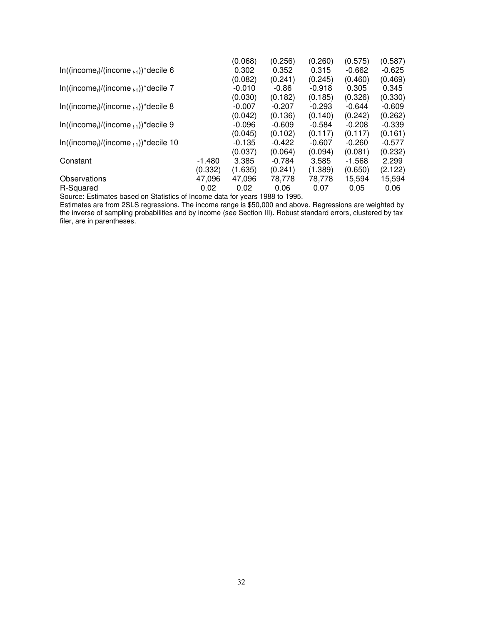|                                             |          | (0.068)  | (0.256)  | (0.260)  | (0.575)  | (0.587)  |
|---------------------------------------------|----------|----------|----------|----------|----------|----------|
| $ln((income_i)/(income_{t-1}))^*$ decile 6  |          | 0.302    | 0.352    | 0.315    | $-0.662$ | $-0.625$ |
|                                             |          | (0.082)  | (0.241)  | (0.245)  | (0.460)  | (0.469)  |
| $ln((income_t)/(income_{t-1}))^*$ decile 7  |          | $-0.010$ | -0.86    | $-0.918$ | 0.305    | 0.345    |
|                                             |          | (0.030)  | (0.182)  | (0.185)  | (0.326)  | (0.330)  |
| $ln((income_i)/(income_{t-1}))^*$ decile 8  |          | $-0.007$ | $-0.207$ | $-0.293$ | $-0.644$ | $-0.609$ |
|                                             |          | (0.042)  | (0.136)  | (0.140)  | (0.242)  | (0.262)  |
| $ln((income_i)/(income_{i-1}))^*$ decile 9  |          | $-0.096$ | $-0.609$ | $-0.584$ | $-0.208$ | $-0.339$ |
|                                             |          | (0.045)  | (0.102)  | (0.117)  | (0.117)  | (0.161)  |
| $ln((income_i)/(income_{t-1}))^*$ decile 10 |          | $-0.135$ | $-0.422$ | $-0.607$ | $-0.260$ | $-0.577$ |
|                                             |          | (0.037)  | (0.064)  | (0.094)  | (0.081)  | (0.232)  |
| Constant                                    | $-1.480$ | 3.385    | $-0.784$ | 3.585    | $-1.568$ | 2.299    |
|                                             | (0.332)  | (1.635)  | (0.241)  | (1.389)  | (0.650)  | (2.122)  |
| Observations                                | 47,096   | 47,096   | 78,778   | 78,778   | 15,594   | 15,594   |
| R-Squared                                   | 0.02     | 0.02     | 0.06     | 0.07     | 0.05     | 0.06     |
|                                             |          |          |          |          |          |          |

Source: Estimates based on Statistics of Income data for years 1988 to 1995.

Estimates are from 2SLS regressions. The income range is \$50,000 and above. Regressions are weighted by the inverse of sampling probabilities and by income (see Section III). Robust standard errors, clustered by tax filer, are in parentheses.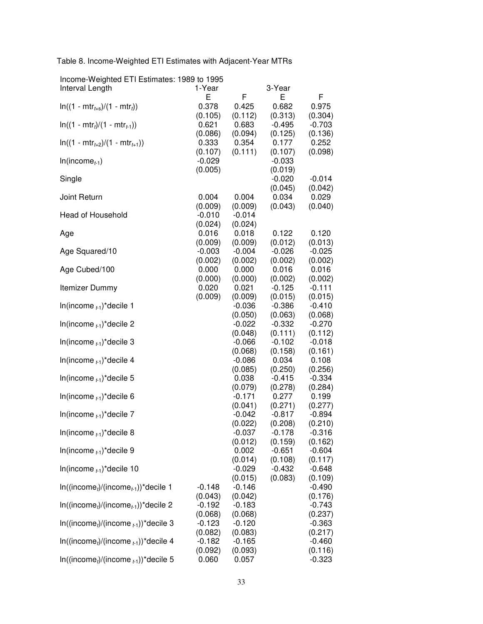Table 8. Income-Weighted ETI Estimates with Adjacent-Year MTRs

|  |   |  | Income-Weighted ETI Estimates: 1989 to 1995 |  |
|--|---|--|---------------------------------------------|--|
|  | . |  |                                             |  |

| Interval Length                            | 1-Year   |          | 3-Year   |          |
|--------------------------------------------|----------|----------|----------|----------|
|                                            | Е        | F        | E        | F        |
| $ln((1 - mtr_{t+s})/(1 - mtr_t))$          | 0.378    | 0.425    | 0.682    | 0.975    |
|                                            | (0.105)  | (0.112)  | (0.313)  | (0.304)  |
| $ln((1 - mtr_t)/(1 - mtr_{t-1}))$          | 0.621    | 0.683    | $-0.495$ | $-0.703$ |
|                                            | (0.086)  | (0.094)  | (0.125)  | (0.136)  |
| $ln((1 - mtr_{t+2})/(1 - mtr_{t+1}))$      | 0.333    | 0.354    | 0.177    | 0.252    |
|                                            | (0.107)  | (0.111)  | (0.107)  | (0.098)  |
| $In(income_{t-1})$                         | $-0.029$ |          | $-0.033$ |          |
|                                            | (0.005)  |          | (0.019)  |          |
| Single                                     |          |          | $-0.020$ | $-0.014$ |
|                                            |          |          | (0.045)  | (0.042)  |
| Joint Return                               | 0.004    | 0.004    | 0.034    | 0.029    |
|                                            |          |          |          |          |
|                                            | (0.009)  | (0.009)  | (0.043)  | (0.040)  |
| Head of Household                          | $-0.010$ | $-0.014$ |          |          |
|                                            | (0.024)  | (0.024)  |          |          |
| Age                                        | 0.016    | 0.018    | 0.122    | 0.120    |
|                                            | (0.009)  | (0.009)  | (0.012)  | (0.013)  |
| Age Squared/10                             | $-0.003$ | $-0.004$ | $-0.026$ | $-0.025$ |
|                                            | (0.002)  | (0.002)  | (0.002)  | (0.002)  |
| Age Cubed/100                              | 0.000    | 0.000    | 0.016    | 0.016    |
|                                            | (0.000)  | (0.000)  | (0.002)  | (0.002)  |
| Itemizer Dummy                             | 0.020    | 0.021    | $-0.125$ | $-0.111$ |
|                                            | (0.009)  | (0.009)  | (0.015)  | (0.015)  |
| In(income $_{t-1}$ )*decile 1              |          | $-0.036$ | $-0.386$ | $-0.410$ |
|                                            |          | (0.050)  | (0.063)  | (0.068)  |
| In(income $_{t-1}$ )*decile 2              |          | $-0.022$ | $-0.332$ | $-0.270$ |
|                                            |          | (0.048)  | (0.111)  | (0.112)  |
| In(income $_{t-1}$ )*decile 3              |          | $-0.066$ | $-0.102$ | $-0.018$ |
|                                            |          | (0.068)  | (0.158)  | (0.161)  |
|                                            |          | $-0.086$ | 0.034    |          |
| In(income $_{t-1}$ )*decile 4              |          |          |          | 0.108    |
|                                            |          | (0.085)  | (0.250)  | (0.256)  |
| In(income $_{t-1}$ )*decile 5              |          | 0.038    | $-0.415$ | $-0.334$ |
|                                            |          | (0.079)  | (0.278)  | (0.284)  |
| In(income $_{t-1}$ )*decile 6              |          | $-0.171$ | 0.277    | 0.199    |
|                                            |          | (0.041)  | (0.271)  | (0.277)  |
| In(income $_{t-1}$ )*decile 7              |          | $-0.042$ | $-0.817$ | $-0.894$ |
|                                            |          | (0.022)  | (0.208)  | (0.210)  |
| In(income $_{t-1}$ )*decile 8              |          | $-0.037$ | $-0.178$ | $-0.316$ |
|                                            |          | (0.012)  | (0.159)  | (0.162)  |
| In(income $_{t-1}$ )*decile 9              |          | 0.002    | $-0.651$ | $-0.604$ |
|                                            |          | (0.014)  | (0.108)  | (0.117)  |
| In(income $_{t-1}$ )*decile 10             |          | $-0.029$ | $-0.432$ | $-0.648$ |
|                                            |          | (0.015)  | (0.083)  | (0.109)  |
| $In((incomet)/(incomet-1))$ *decile 1      | $-0.148$ | $-0.146$ |          | $-0.490$ |
|                                            | (0.043)  | (0.042)  |          | (0.176)  |
|                                            |          |          |          |          |
| $ln((income_t)/(income_{t-1}))^*$ decile 2 | $-0.192$ | $-0.183$ |          | $-0.743$ |
|                                            | (0.068)  | (0.068)  |          | (0.237)  |
| $ln((income_i)/(income_{i-1}))^*$ decile 3 | $-0.123$ | $-0.120$ |          | $-0.363$ |
|                                            | (0.082)  | (0.083)  |          | (0.217)  |
| $ln((income_i)/(income_{t-1}))^*$ decile 4 | $-0.182$ | $-0.165$ |          | $-0.460$ |
|                                            | (0.092)  | (0.093)  |          | (0.116)  |
| $In((income_t)/(income_{t-1}))^*$ decile 5 | 0.060    | 0.057    |          | $-0.323$ |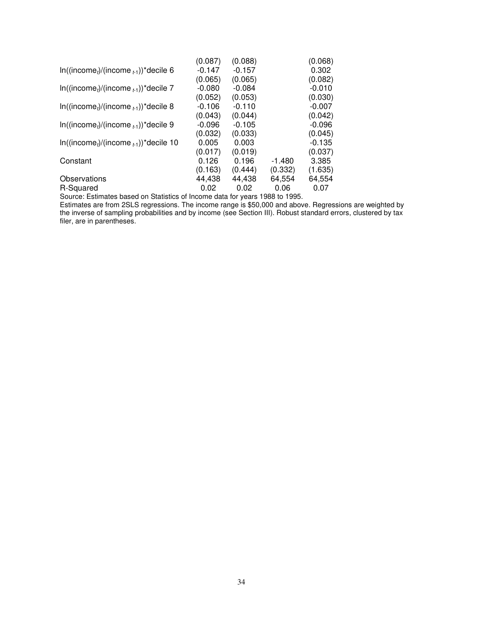| (0.087)  | (0.088)  |          | (0.068)  |
|----------|----------|----------|----------|
| $-0.147$ | $-0.157$ |          | 0.302    |
| (0.065)  | (0.065)  |          | (0.082)  |
| $-0.080$ | $-0.084$ |          | $-0.010$ |
| (0.052)  | (0.053)  |          | (0.030)  |
| $-0.106$ | $-0.110$ |          | $-0.007$ |
| (0.043)  | (0.044)  |          | (0.042)  |
| $-0.096$ | $-0.105$ |          | $-0.096$ |
| (0.032)  | (0.033)  |          | (0.045)  |
| 0.005    | 0.003    |          | $-0.135$ |
| (0.017)  | (0.019)  |          | (0.037)  |
| 0.126    | 0.196    | $-1.480$ | 3.385    |
| (0.163)  | (0.444)  | (0.332)  | (1.635)  |
| 44,438   | 44,438   | 64,554   | 64,554   |
| 0.02     | 0.02     | 0.06     | 0.07     |
|          |          |          |          |

Source: Estimates based on Statistics of Income data for years 1988 to 1995.

Estimates are from 2SLS regressions. The income range is \$50,000 and above. Regressions are weighted by the inverse of sampling probabilities and by income (see Section III). Robust standard errors, clustered by tax filer, are in parentheses.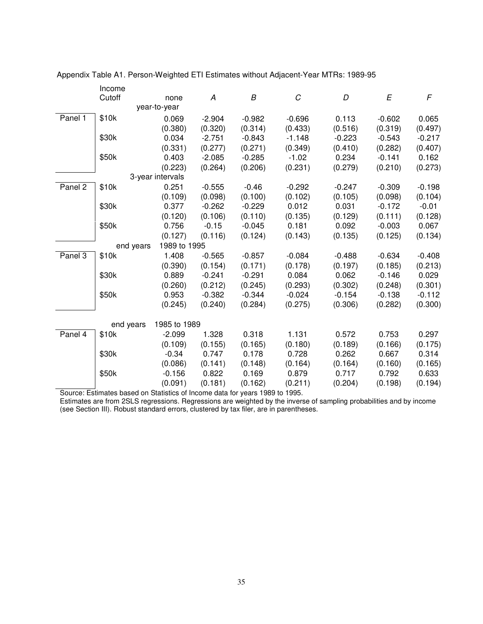|                      | Income    |                  |          |          |          |          |          |          |
|----------------------|-----------|------------------|----------|----------|----------|----------|----------|----------|
|                      | Cutoff    | none             | A        | B        | C        | D        | E        | F        |
|                      |           | year-to-year     |          |          |          |          |          |          |
| Panel 1              | \$10k     | 0.069            | $-2.904$ | $-0.982$ | $-0.696$ | 0.113    | $-0.602$ | 0.065    |
|                      |           | (0.380)          | (0.320)  | (0.314)  | (0.433)  | (0.516)  | (0.319)  | (0.497)  |
|                      | \$30k     | 0.034            | $-2.751$ | $-0.843$ | $-1.148$ | $-0.223$ | $-0.543$ | $-0.217$ |
|                      |           | (0.331)          | (0.277)  | (0.271)  | (0.349)  | (0.410)  | (0.282)  | (0.407)  |
|                      | \$50k     | 0.403            | $-2.085$ | $-0.285$ | $-1.02$  | 0.234    | $-0.141$ | 0.162    |
|                      |           | (0.223)          | (0.264)  | (0.206)  | (0.231)  | (0.279)  | (0.210)  | (0.273)  |
|                      |           | 3-year intervals |          |          |          |          |          |          |
| Panel 2              | \$10k     | 0.251            | $-0.555$ | $-0.46$  | $-0.292$ | $-0.247$ | $-0.309$ | $-0.198$ |
|                      |           | (0.109)          | (0.098)  | (0.100)  | (0.102)  | (0.105)  | (0.098)  | (0.104)  |
|                      | \$30k     | 0.377            | $-0.262$ | $-0.229$ | 0.012    | 0.031    | $-0.172$ | $-0.01$  |
|                      |           | (0.120)          | (0.106)  | (0.110)  | (0.135)  | (0.129)  | (0.111)  | (0.128)  |
|                      | \$50k     | 0.756            | $-0.15$  | $-0.045$ | 0.181    | 0.092    | $-0.003$ | 0.067    |
|                      |           | (0.127)          | (0.116)  | (0.124)  | (0.143)  | (0.135)  | (0.125)  | (0.134)  |
|                      | end years | 1989 to 1995     |          |          |          |          |          |          |
| Panel $\overline{3}$ | \$10k     | 1.408            | $-0.565$ | $-0.857$ | $-0.084$ | $-0.488$ | $-0.634$ | $-0.408$ |
|                      |           | (0.390)          | (0.154)  | (0.171)  | (0.178)  | (0.197)  | (0.185)  | (0.213)  |
|                      | \$30k     | 0.889            | $-0.241$ | $-0.291$ | 0.084    | 0.062    | $-0.146$ | 0.029    |
|                      |           | (0.260)          | (0.212)  | (0.245)  | (0.293)  | (0.302)  | (0.248)  | (0.301)  |
|                      | \$50k     | 0.953            | $-0.382$ | $-0.344$ | $-0.024$ | $-0.154$ | $-0.138$ | $-0.112$ |
|                      |           | (0.245)          | (0.240)  | (0.284)  | (0.275)  | (0.306)  | (0.282)  | (0.300)  |
|                      | end years | 1985 to 1989     |          |          |          |          |          |          |
| Panel 4              | \$10k     | $-2.099$         | 1.328    | 0.318    | 1.131    | 0.572    | 0.753    | 0.297    |
|                      |           | (0.109)          | (0.155)  | (0.165)  | (0.180)  | (0.189)  | (0.166)  | (0.175)  |
|                      | \$30k     | $-0.34$          | 0.747    | 0.178    | 0.728    | 0.262    | 0.667    | 0.314    |
|                      |           | (0.086)          | (0.141)  | (0.148)  | (0.164)  | (0.164)  | (0.160)  | (0.165)  |
|                      | \$50k     | $-0.156$         | 0.822    | 0.169    | 0.879    | 0.717    | 0.792    | 0.633    |
|                      |           | (0.091)          | (0.181)  | (0.162)  | (0.211)  | (0.204)  | (0.198)  | (0.194)  |

Appendix Table A1. Person-Weighted ETI Estimates without Adjacent-Year MTRs: 1989-95

Source: Estimates based on Statistics of Income data for years 1989 to 1995.

Estimates are from 2SLS regressions. Regressions are weighted by the inverse of sampling probabilities and by income (see Section III). Robust standard errors, clustered by tax filer, are in parentheses.